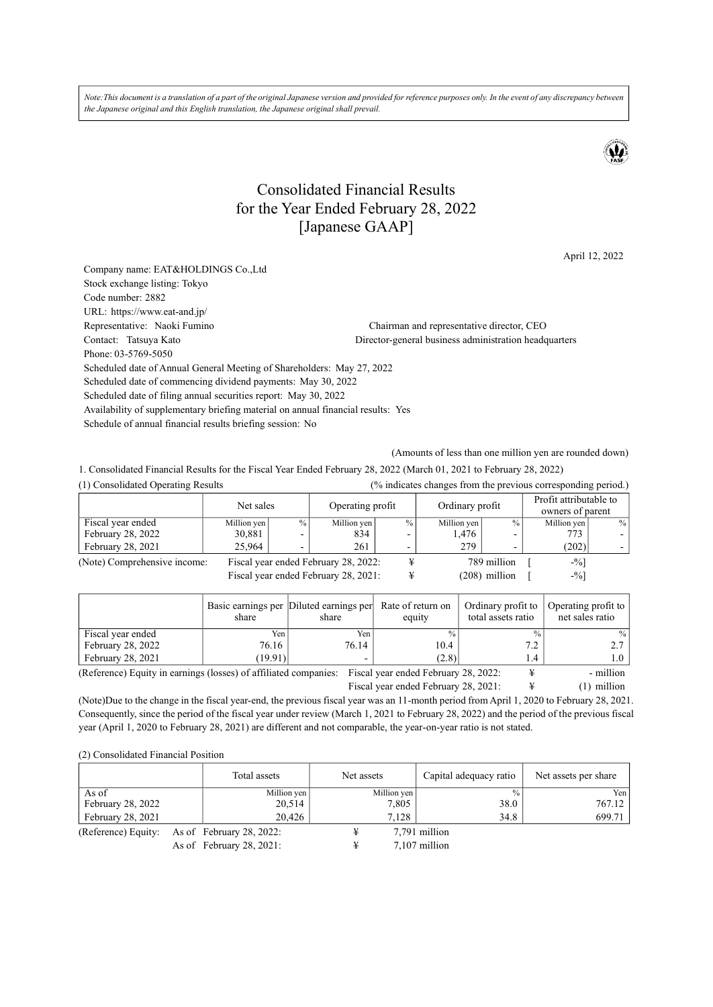*Note: This document is a translation of a part of the original Japanese version and provided for reference purposes only. In the event of any discrepancy between the Japanese original and this English translation, the Japanese original shall prevail.* 



# Consolidated Financial Results for the Year Ended February 28, 2022 [Japanese GAAP]

April 12, 2022

Company name: EAT&HOLDINGS Co.,Ltd Stock exchange listing: Tokyo Code number: 2882 URL: https://www.eat-and.jp/ Representative: Naoki Fumino Chairman and representative director, CEO Contact: Tatsuya Kato Director-general business administration headquarters Phone: 03-5769-5050 Scheduled date of Annual General Meeting of Shareholders: May 27, 2022 Scheduled date of commencing dividend payments: May 30, 2022 Scheduled date of filing annual securities report: May 30, 2022 Availability of supplementary briefing material on annual financial results: Yes Schedule of annual financial results briefing session: No

(Amounts of less than one million yen are rounded down)

1. Consolidated Financial Results for the Fiscal Year Ended February 28, 2022 (March 01, 2021 to February 28, 2022)

| (1) Consolidated Operating Results |                                      |                                      |             |                  |             |                 | (% indicates changes from the previous corresponding period.) |      |
|------------------------------------|--------------------------------------|--------------------------------------|-------------|------------------|-------------|-----------------|---------------------------------------------------------------|------|
|                                    | Net sales                            |                                      |             | Operating profit |             | Ordinary profit | Profit attributable to<br>owners of parent                    |      |
| Fiscal year ended                  | Million yen                          | $\frac{0}{0}$                        | Million yen | $\frac{0}{0}$    | Million yen | $\frac{0}{0}$   | Million yen                                                   | $\%$ |
| February 28, 2022                  | 30,881                               | $\overline{\phantom{0}}$             | 834         |                  | 1,476       |                 | 773.                                                          |      |
| February 28, 2021                  | 25,964                               |                                      | 261         |                  | 279         |                 | (202)                                                         |      |
| (Note) Comprehensive income:       |                                      | Fiscal year ended February 28, 2022: |             |                  |             | 789 million     | $-$ <sup>0</sup> $\sqrt{0}$ ]                                 |      |
|                                    | Fiscal year ended February 28, 2021: |                                      |             |                  |             | (208) million   | $-9/0$                                                        |      |

|                                                                  | Basic earnings per Diluted earnings per<br>share | share | Rate of return on<br>equity          | Ordinary profit to<br>total assets ratio | Operating profit to<br>net sales ratio |
|------------------------------------------------------------------|--------------------------------------------------|-------|--------------------------------------|------------------------------------------|----------------------------------------|
| Fiscal year ended                                                | Yen                                              | Yen   | $\frac{0}{0}$                        | $\frac{0}{0}$                            | $\%$                                   |
| February 28, 2022                                                | 76.16                                            | 76.14 | 10.4                                 | 7.2                                      |                                        |
| February 28, 2021                                                | (19.91)                                          |       | (2.8)                                | 1.4                                      |                                        |
| (Reference) Equity in earnings (losses) of affiliated companies: |                                                  |       | Fiscal year ended February 28, 2022: |                                          | - million                              |
| Fiscal year ended February 28, 2021:                             |                                                  |       |                                      |                                          | (1) million                            |

(Note)Due to the change in the fiscal year-end, the previous fiscal year was an 11-month period from April 1, 2020 to February 28, 2021. Consequently, since the period of the fiscal year under review (March 1, 2021 to February 28, 2022) and the period of the previous fiscal year (April 1, 2020 to February 28, 2021) are different and not comparable, the year-on-year ratio is not stated.

(2) Consolidated Financial Position

|                     | Total assets                | Net assets |             | Capital adequacy ratio | Net assets per share |
|---------------------|-----------------------------|------------|-------------|------------------------|----------------------|
| As of               | Million yen                 |            | Million yen | $\frac{0}{0}$          | Yen                  |
| February 28, 2022   | 20,514                      |            | 7,805       | 38.0                   | 767.12               |
| February 28, 2021   | 20.426                      |            | 7.128       | 34.8                   | 699.71               |
| (Reference) Equity: | As of February $28, 2022$ : |            |             | 7,791 million          |                      |
|                     | As of February $28, 2021$ : |            |             | 7,107 million          |                      |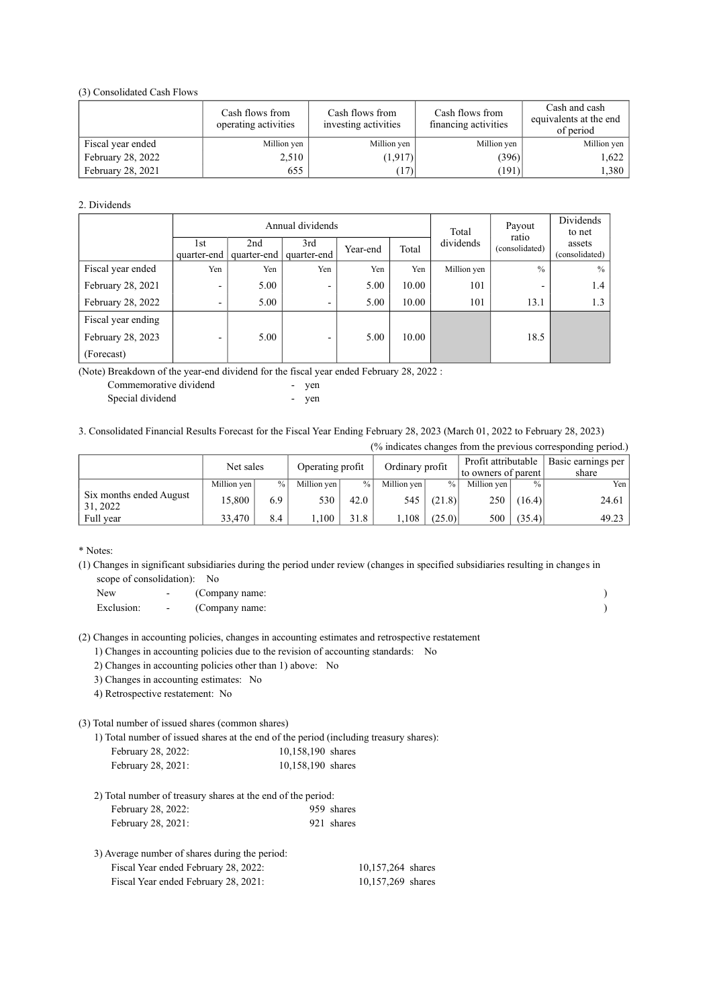(3) Consolidated Cash Flows

|                   | Cash flows from<br>operating activities | Cash flows from<br>investing activities | Cash flows from<br>financing activities | Cash and cash<br>equivalents at the end<br>of period |  |
|-------------------|-----------------------------------------|-----------------------------------------|-----------------------------------------|------------------------------------------------------|--|
| Fiscal year ended | Million yen                             | Million yen                             | Million yen                             | Million yen                                          |  |
| February 28, 2022 | 2,510                                   | (1, 917)                                | (396)                                   | 1,622                                                |  |
| February 28, 2021 | 655                                     | (17)                                    | (191)                                   | 1,380                                                |  |

#### 2. Dividends

|                    | Annual dividends    |      |                                |          |       | Total       | Payout                   | Dividends<br>to net      |
|--------------------|---------------------|------|--------------------------------|----------|-------|-------------|--------------------------|--------------------------|
|                    | l st<br>quarter-end | 2nd  | 3rd<br>quarter-end quarter-end | Year-end | Total | dividends   | ratio<br>(consolidated)  | assets<br>(consolidated) |
| Fiscal year ended  | Yen                 | Yen  | Yen                            | Yen      | Yen   | Million yen | $\frac{0}{0}$            | $\frac{0}{0}$            |
| February 28, 2021  | -                   | 5.00 | $\overline{\phantom{0}}$       | 5.00     | 10.00 | 101         | $\overline{\phantom{0}}$ | 1.4                      |
| February 28, 2022  |                     | 5.00 | -                              | 5.00     | 10.00 | 101         | 13.1                     | 1.3                      |
| Fiscal year ending |                     |      |                                |          |       |             |                          |                          |
| February 28, 2023  | -                   | 5.00 | $\overline{\phantom{0}}$       | 5.00     | 10.00 |             | 18.5                     |                          |
| (Forecast)         |                     |      |                                |          |       |             |                          |                          |

(Note) Breakdown of the year-end dividend for the fiscal year ended February 28, 2022 :

| Commemorative dividend | $\overline{\phantom{a}}$ | ven |
|------------------------|--------------------------|-----|
| Special dividend       |                          | ven |

3. Consolidated Financial Results Forecast for the Fiscal Year Ending February 28, 2023 (March 01, 2022 to February 28, 2023)

(% indicates changes from the previous corresponding period.)

|                                     | Net sales   |      | Operating profit |               | Ordinary profit |               | Profit attributable<br>to owners of parent |               | Basic earnings per<br>share |
|-------------------------------------|-------------|------|------------------|---------------|-----------------|---------------|--------------------------------------------|---------------|-----------------------------|
|                                     | Million yen | $\%$ | Million yen      | $\frac{0}{0}$ | Million yen     | $\frac{0}{0}$ | Million yen                                | $\frac{0}{0}$ | Yen                         |
| Six months ended August<br>31, 2022 | 15.800      | 6.9  | 530              | 42.0          | 545             | (21.8)        | 250                                        | (16.4)        | 24.61                       |
| Full year                           | 33.470      | 8.4  | .100             | 31.8          | ,108            | (25.0)        | 500                                        | (35.4)        | 49.23                       |

\* Notes:

(1) Changes in significant subsidiaries during the period under review (changes in specified subsidiaries resulting in changes in scope of consolidation): No

New - (Company name: ) Exclusion:  $\qquad \qquad - \qquad \qquad \text{(Comparing) name:}$ 

(2) Changes in accounting policies, changes in accounting estimates and retrospective restatement

1) Changes in accounting policies due to the revision of accounting standards: No

2) Changes in accounting policies other than 1) above: No

3) Changes in accounting estimates: No

4) Retrospective restatement: No

(3) Total number of issued shares (common shares)

1) Total number of issued shares at the end of the period (including treasury shares):

| February 28, 2022: | 10,158,190 shares |
|--------------------|-------------------|
| February 28, 2021: | 10,158,190 shares |

| 2) Total number of treasury shares at the end of the period: |            |
|--------------------------------------------------------------|------------|
| February 28, 2022:                                           | 959 shares |
| February 28, 2021:                                           | 921 shares |

| 3) Average number of shares during the period: |                   |
|------------------------------------------------|-------------------|
| Fiscal Year ended February 28, 2022:           | 10,157,264 shares |
| Fiscal Year ended February 28, 2021:           | 10,157,269 shares |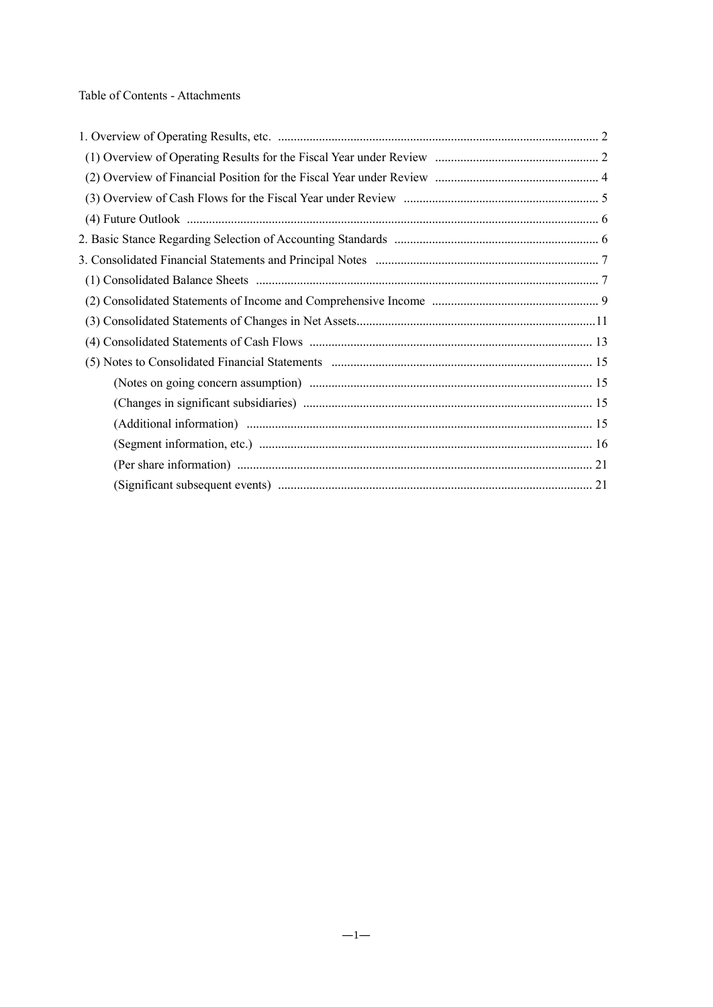Table of Contents - Attachments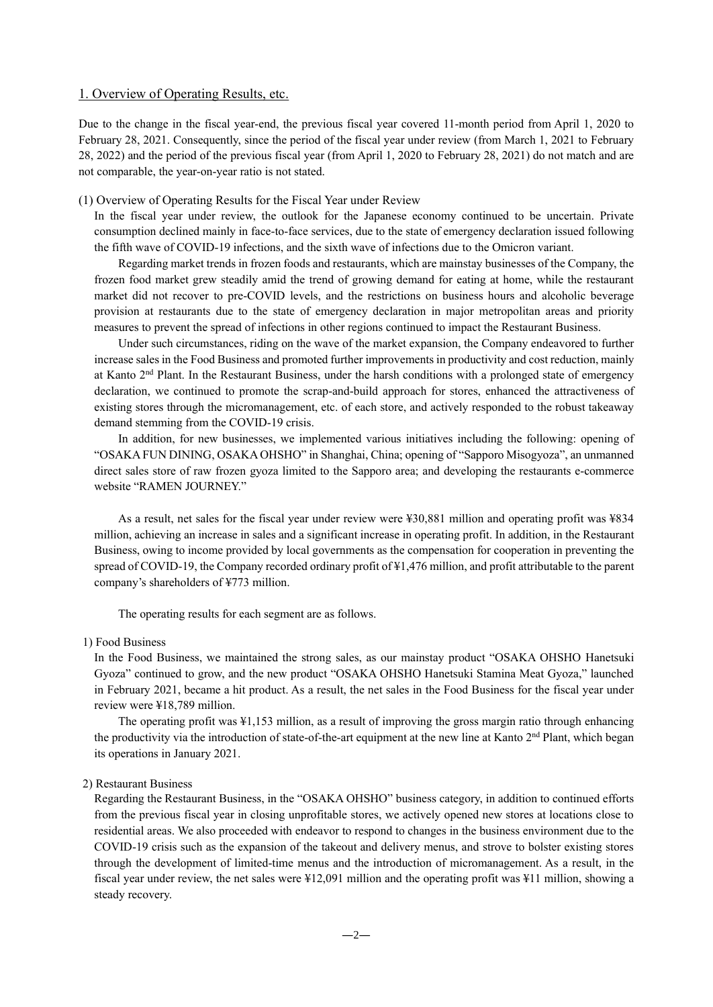## 1. Overview of Operating Results, etc.

Due to the change in the fiscal year-end, the previous fiscal year covered 11-month period from April 1, 2020 to February 28, 2021. Consequently, since the period of the fiscal year under review (from March 1, 2021 to February 28, 2022) and the period of the previous fiscal year (from April 1, 2020 to February 28, 2021) do not match and are not comparable, the year-on-year ratio is not stated.

## (1) Overview of Operating Results for the Fiscal Year under Review

In the fiscal year under review, the outlook for the Japanese economy continued to be uncertain. Private consumption declined mainly in face-to-face services, due to the state of emergency declaration issued following the fifth wave of COVID-19 infections, and the sixth wave of infections due to the Omicron variant.

Regarding market trends in frozen foods and restaurants, which are mainstay businesses of the Company, the frozen food market grew steadily amid the trend of growing demand for eating at home, while the restaurant market did not recover to pre-COVID levels, and the restrictions on business hours and alcoholic beverage provision at restaurants due to the state of emergency declaration in major metropolitan areas and priority measures to prevent the spread of infections in other regions continued to impact the Restaurant Business.

Under such circumstances, riding on the wave of the market expansion, the Company endeavored to further increase sales in the Food Business and promoted further improvements in productivity and cost reduction, mainly at Kanto 2<sup>nd</sup> Plant. In the Restaurant Business, under the harsh conditions with a prolonged state of emergency declaration, we continued to promote the scrap-and-build approach for stores, enhanced the attractiveness of existing stores through the micromanagement, etc. of each store, and actively responded to the robust takeaway demand stemming from the COVID-19 crisis.

In addition, for new businesses, we implemented various initiatives including the following: opening of "OSAKA FUN DINING, OSAKA OHSHO" in Shanghai, China; opening of "Sapporo Misogyoza", an unmanned direct sales store of raw frozen gyoza limited to the Sapporo area; and developing the restaurants e-commerce website "RAMEN JOURNEY."

As a result, net sales for the fiscal year under review were ¥30,881 million and operating profit was ¥834 million, achieving an increase in sales and a significant increase in operating profit. In addition, in the Restaurant Business, owing to income provided by local governments as the compensation for cooperation in preventing the spread of COVID-19, the Company recorded ordinary profit of ¥1,476 million, and profit attributable to the parent company's shareholders of ¥773 million.

The operating results for each segment are as follows.

### 1) Food Business

In the Food Business, we maintained the strong sales, as our mainstay product "OSAKA OHSHO Hanetsuki Gyoza" continued to grow, and the new product "OSAKA OHSHO Hanetsuki Stamina Meat Gyoza," launched in February 2021, became a hit product. As a result, the net sales in the Food Business for the fiscal year under review were ¥18,789 million.

The operating profit was ¥1,153 million, as a result of improving the gross margin ratio through enhancing the productivity via the introduction of state-of-the-art equipment at the new line at Kanto 2<sup>nd</sup> Plant, which began its operations in January 2021.

## 2) Restaurant Business

Regarding the Restaurant Business, in the "OSAKA OHSHO" business category, in addition to continued efforts from the previous fiscal year in closing unprofitable stores, we actively opened new stores at locations close to residential areas. We also proceeded with endeavor to respond to changes in the business environment due to the COVID-19 crisis such as the expansion of the takeout and delivery menus, and strove to bolster existing stores through the development of limited-time menus and the introduction of micromanagement. As a result, in the fiscal year under review, the net sales were ¥12,091 million and the operating profit was ¥11 million, showing a steady recovery.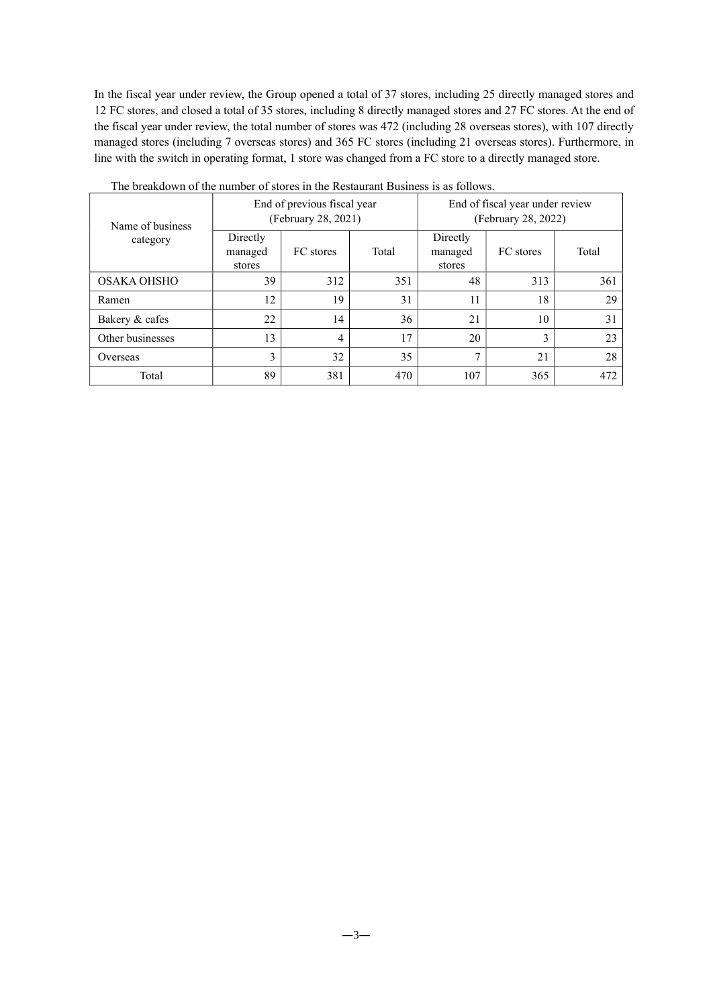In the fiscal year under review, the Group opened a total of 37 stores, including 25 directly managed stores and 12 FC stores, and closed a total of 35 stores, including 8 directly managed stores and 27 FC stores. At the end of the fiscal year under review, the total number of stores was 472 (including 28 overseas stores), with 107 directly managed stores (including 7 overseas stores) and 365 FC stores (including 21 overseas stores). Furthermore, in line with the switch in operating format, 1 store was changed from a FC store to a directly managed store.

| Name of business<br>category |                               | End of previous fiscal year<br>(February 28, 2021) |       | End of fiscal year under review<br>(February 28, 2022) |           |       |  |
|------------------------------|-------------------------------|----------------------------------------------------|-------|--------------------------------------------------------|-----------|-------|--|
|                              | Directly<br>managed<br>stores | FC stores                                          | Total | Directly<br>managed<br>stores                          | FC stores | Total |  |
| OSAKA OHSHO                  | 39                            | 312                                                | 351   | 48                                                     | 313       | 361   |  |
| Ramen                        | 12                            | 19                                                 | 31    | 11                                                     | 18        | 29    |  |
| Bakery & cafes               | 22                            | 14                                                 | 36    | 21                                                     | 10        | 31    |  |
| Other businesses             | 13                            | 4                                                  | 17    | 20                                                     | 3         | 23    |  |
| Overseas                     | 3                             | 32                                                 | 35    | $\mathbf{7}$                                           | 21        | 28    |  |
| Total                        | 89                            | 381                                                | 470   | 107                                                    | 365       | 472   |  |

The breakdown of the number of stores in the Restaurant Business is as follows.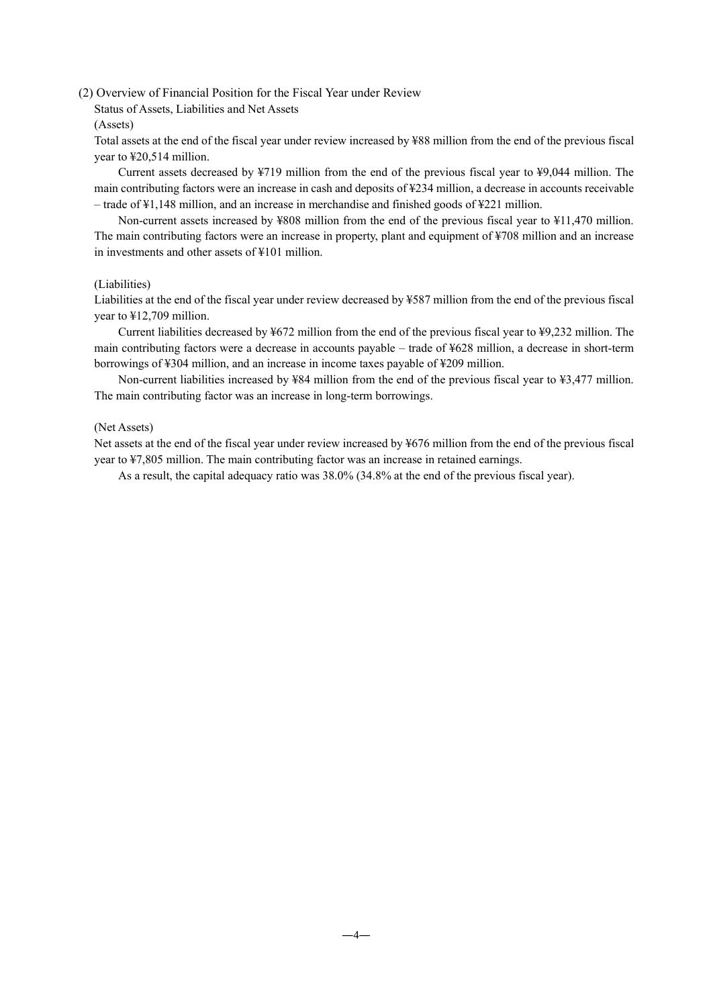## (2) Overview of Financial Position for the Fiscal Year under Review

Status of Assets, Liabilities and Net Assets

#### (Assets)

Total assets at the end of the fiscal year under review increased by ¥88 million from the end of the previous fiscal year to ¥20,514 million.

Current assets decreased by ¥719 million from the end of the previous fiscal year to ¥9,044 million. The main contributing factors were an increase in cash and deposits of ¥234 million, a decrease in accounts receivable – trade of ¥1,148 million, and an increase in merchandise and finished goods of ¥221 million.

Non-current assets increased by ¥808 million from the end of the previous fiscal year to ¥11,470 million. The main contributing factors were an increase in property, plant and equipment of ¥708 million and an increase in investments and other assets of ¥101 million.

## (Liabilities)

Liabilities at the end of the fiscal year under review decreased by ¥587 million from the end of the previous fiscal year to ¥12,709 million.

Current liabilities decreased by ¥672 million from the end of the previous fiscal year to ¥9,232 million. The main contributing factors were a decrease in accounts payable – trade of ¥628 million, a decrease in short-term borrowings of ¥304 million, and an increase in income taxes payable of ¥209 million.

Non-current liabilities increased by ¥84 million from the end of the previous fiscal year to ¥3,477 million. The main contributing factor was an increase in long-term borrowings.

## (Net Assets)

Net assets at the end of the fiscal year under review increased by ¥676 million from the end of the previous fiscal year to ¥7,805 million. The main contributing factor was an increase in retained earnings.

As a result, the capital adequacy ratio was 38.0% (34.8% at the end of the previous fiscal year).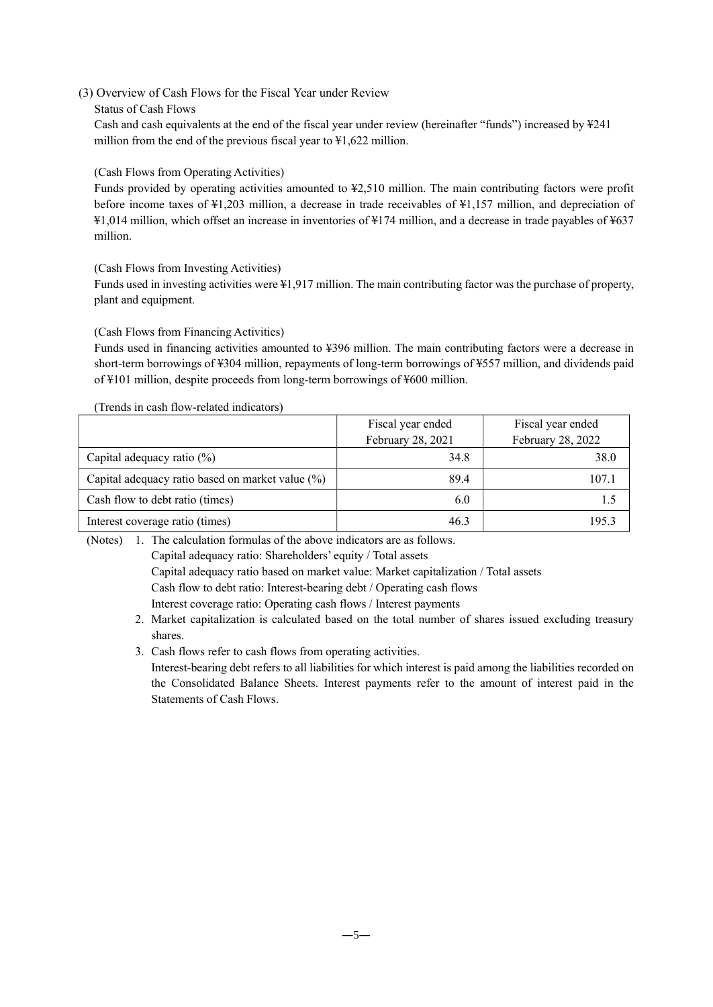# (3) Overview of Cash Flows for the Fiscal Year under Review

## Status of Cash Flows

Cash and cash equivalents at the end of the fiscal year under review (hereinafter "funds") increased by ¥241 million from the end of the previous fiscal year to ¥1,622 million.

# (Cash Flows from Operating Activities)

Funds provided by operating activities amounted to ¥2,510 million. The main contributing factors were profit before income taxes of ¥1,203 million, a decrease in trade receivables of ¥1,157 million, and depreciation of ¥1,014 million, which offset an increase in inventories of ¥174 million, and a decrease in trade payables of ¥637 million.

(Cash Flows from Investing Activities)

Funds used in investing activities were ¥1,917 million. The main contributing factor was the purchase of property, plant and equipment.

# (Cash Flows from Financing Activities)

Funds used in financing activities amounted to ¥396 million. The main contributing factors were a decrease in short-term borrowings of ¥304 million, repayments of long-term borrowings of ¥557 million, and dividends paid of ¥101 million, despite proceeds from long-term borrowings of ¥600 million.

# (Trends in cash flow-related indicators)

|                                                  | Fiscal year ended | Fiscal year ended |  |
|--------------------------------------------------|-------------------|-------------------|--|
|                                                  | February 28, 2021 | February 28, 2022 |  |
| Capital adequacy ratio $(\%)$                    | 34.8              | 38.0              |  |
| Capital adequacy ratio based on market value (%) | 89.4              | 107.1             |  |
| Cash flow to debt ratio (times)                  | 6.0               |                   |  |
| Interest coverage ratio (times)                  | 46.3              | 195.3             |  |

(Notes) 1. The calculation formulas of the above indicators are as follows.

Capital adequacy ratio: Shareholders' equity / Total assets

Capital adequacy ratio based on market value: Market capitalization / Total assets

Cash flow to debt ratio: Interest-bearing debt / Operating cash flows

Interest coverage ratio: Operating cash flows / Interest payments

- 2. Market capitalization is calculated based on the total number of shares issued excluding treasury shares.
- 3. Cash flows refer to cash flows from operating activities.

Interest-bearing debt refers to all liabilities for which interest is paid among the liabilities recorded on the Consolidated Balance Sheets. Interest payments refer to the amount of interest paid in the Statements of Cash Flows.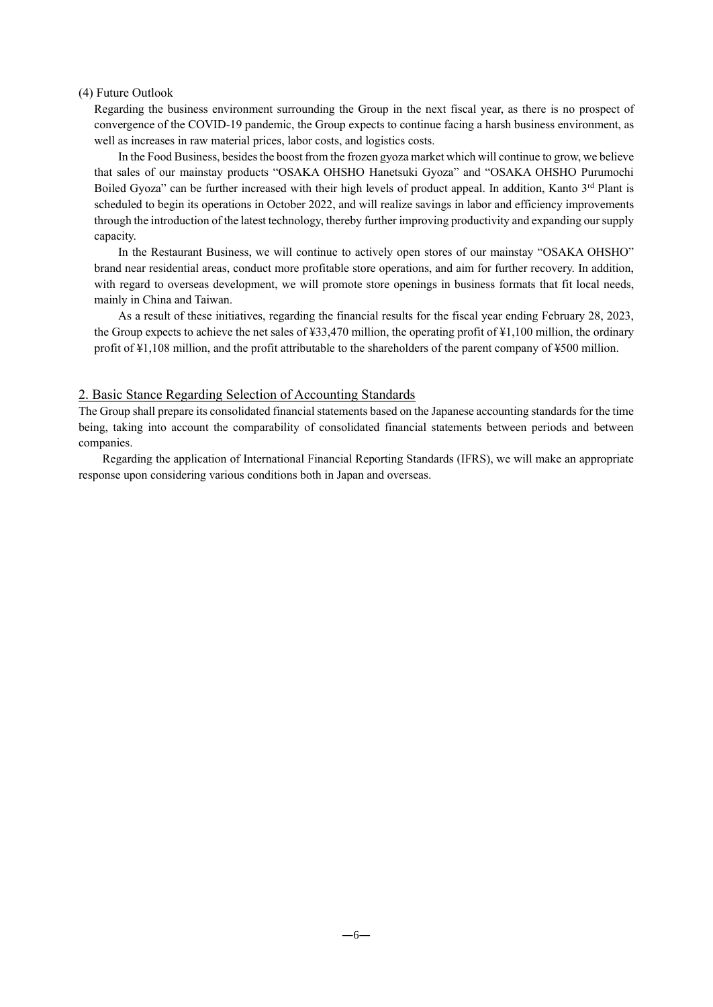## (4) Future Outlook

Regarding the business environment surrounding the Group in the next fiscal year, as there is no prospect of convergence of the COVID-19 pandemic, the Group expects to continue facing a harsh business environment, as well as increases in raw material prices, labor costs, and logistics costs.

In the Food Business, besides the boost from the frozen gyoza market which will continue to grow, we believe that sales of our mainstay products "OSAKA OHSHO Hanetsuki Gyoza" and "OSAKA OHSHO Purumochi Boiled Gyoza" can be further increased with their high levels of product appeal. In addition, Kanto 3rd Plant is scheduled to begin its operations in October 2022, and will realize savings in labor and efficiency improvements through the introduction of the latest technology, thereby further improving productivity and expanding our supply capacity.

In the Restaurant Business, we will continue to actively open stores of our mainstay "OSAKA OHSHO" brand near residential areas, conduct more profitable store operations, and aim for further recovery. In addition, with regard to overseas development, we will promote store openings in business formats that fit local needs, mainly in China and Taiwan.

As a result of these initiatives, regarding the financial results for the fiscal year ending February 28, 2023, the Group expects to achieve the net sales of ¥33,470 million, the operating profit of ¥1,100 million, the ordinary profit of ¥1,108 million, and the profit attributable to the shareholders of the parent company of ¥500 million.

## 2. Basic Stance Regarding Selection of Accounting Standards

The Group shall prepare its consolidated financial statements based on the Japanese accounting standards for the time being, taking into account the comparability of consolidated financial statements between periods and between companies.

Regarding the application of International Financial Reporting Standards (IFRS), we will make an appropriate response upon considering various conditions both in Japan and overseas.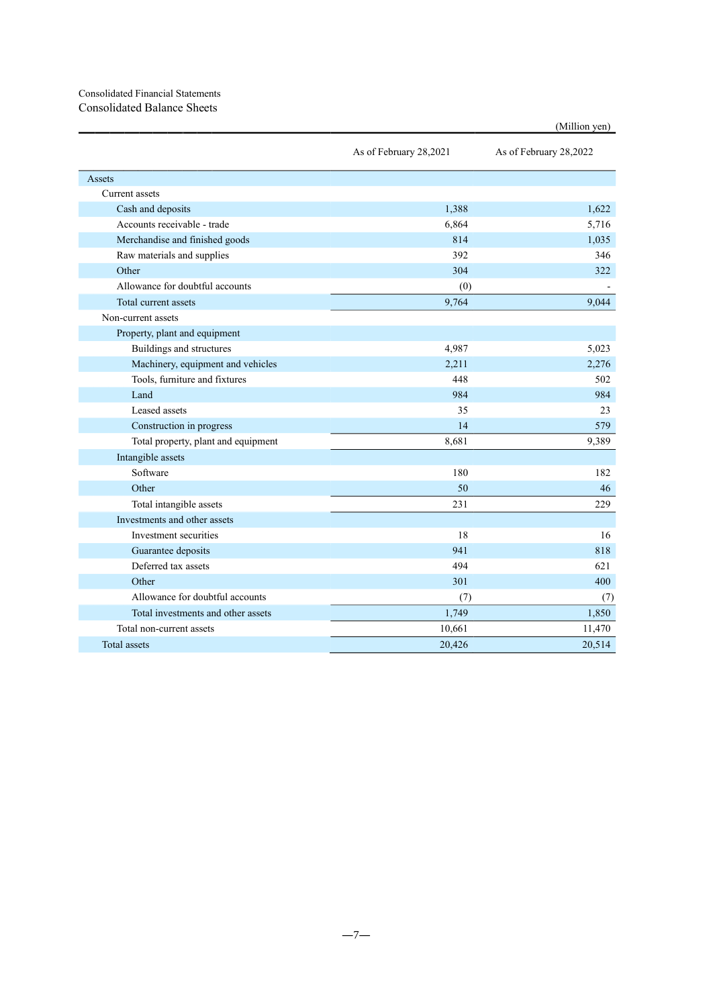# Consolidated Financial Statements Consolidated Balance Sheets

|                                     | As of February 28,2021 | As of February 28,2022 |  |
|-------------------------------------|------------------------|------------------------|--|
| Assets                              |                        |                        |  |
| Current assets                      |                        |                        |  |
| Cash and deposits                   | 1,388                  | 1,622                  |  |
| Accounts receivable - trade         | 6,864                  | 5,716                  |  |
| Merchandise and finished goods      | 814                    | 1,035                  |  |
| Raw materials and supplies          | 392                    | 346                    |  |
| Other                               | 304                    | 322                    |  |
| Allowance for doubtful accounts     | (0)                    |                        |  |
| Total current assets                | 9,764                  | 9,044                  |  |
| Non-current assets                  |                        |                        |  |
| Property, plant and equipment       |                        |                        |  |
| Buildings and structures            | 4,987                  | 5.023                  |  |
| Machinery, equipment and vehicles   | 2.211                  | 2,276                  |  |
| Tools, furniture and fixtures       | 448                    | 502                    |  |
| Land                                | 984                    | 984                    |  |
| Leased assets                       | 35                     | 23                     |  |
| Construction in progress            | 14                     | 579                    |  |
| Total property, plant and equipment | 8,681                  | 9,389                  |  |
| Intangible assets                   |                        |                        |  |
| Software                            | 180                    | 182                    |  |
| Other                               | 50                     | 46                     |  |
| Total intangible assets             | 231                    | 229                    |  |
| Investments and other assets        |                        |                        |  |
| Investment securities               | 18                     | 16                     |  |
| Guarantee deposits                  | 941                    | 818                    |  |
| Deferred tax assets                 | 494                    | 621                    |  |
| Other                               | 301                    | 400                    |  |
| Allowance for doubtful accounts     | (7)                    | (7)                    |  |
| Total investments and other assets  | 1,749                  | 1,850                  |  |
| Total non-current assets            | 10,661                 | 11,470                 |  |
| Total assets                        | 20,426                 | 20,514                 |  |
|                                     |                        |                        |  |

(Million yen)

 $-7-$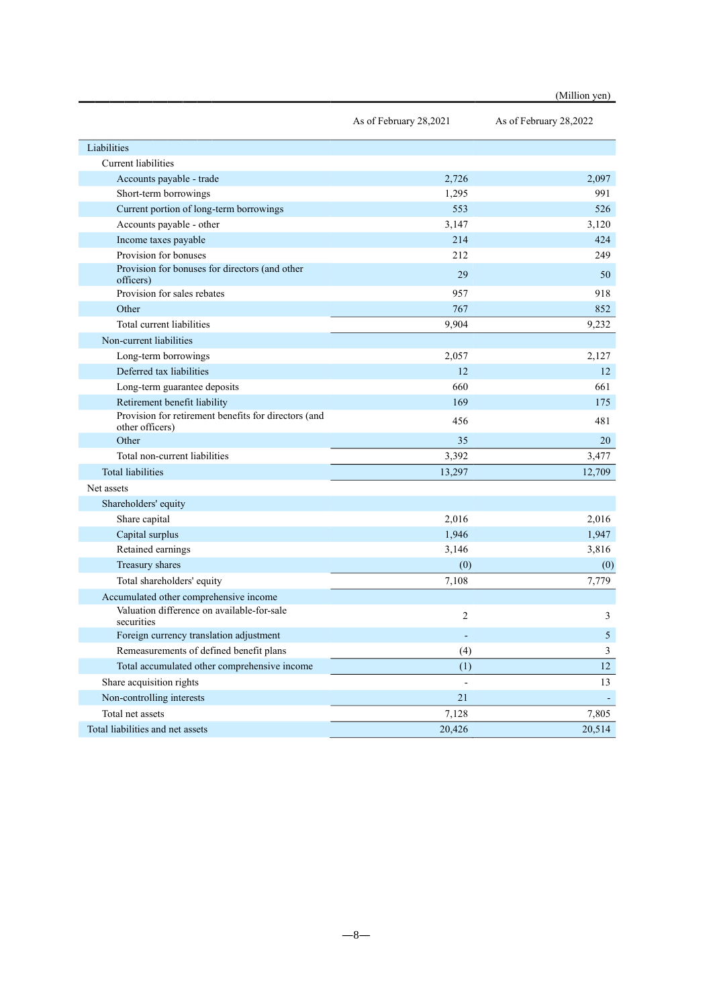|                                                                         |                        | (Million yen)          |
|-------------------------------------------------------------------------|------------------------|------------------------|
|                                                                         | As of February 28,2021 | As of February 28,2022 |
| Liabilities                                                             |                        |                        |
| <b>Current liabilities</b>                                              |                        |                        |
| Accounts payable - trade                                                | 2,726                  | 2,097                  |
| Short-term borrowings                                                   | 1,295                  | 991                    |
| Current portion of long-term borrowings                                 | 553                    | 526                    |
| Accounts payable - other                                                | 3,147                  | 3,120                  |
| Income taxes payable                                                    | 214                    | 424                    |
| Provision for bonuses                                                   | 212                    | 249                    |
| Provision for bonuses for directors (and other<br>officers)             | 29                     | 50                     |
| Provision for sales rebates                                             | 957                    | 918                    |
| Other                                                                   | 767                    | 852                    |
| Total current liabilities                                               | 9,904                  | 9,232                  |
| Non-current liabilities                                                 |                        |                        |
| Long-term borrowings                                                    | 2,057                  | 2,127                  |
| Deferred tax liabilities                                                | 12                     | 12                     |
| Long-term guarantee deposits                                            | 660                    | 661                    |
| Retirement benefit liability                                            | 169                    | 175                    |
| Provision for retirement benefits for directors (and<br>other officers) | 456                    | 481                    |
| Other                                                                   | 35                     | 20                     |
| Total non-current liabilities                                           | 3,392                  | 3,477                  |
| <b>Total liabilities</b>                                                | 13,297                 | 12,709                 |
| Net assets                                                              |                        |                        |
| Shareholders' equity                                                    |                        |                        |
| Share capital                                                           | 2,016                  | 2,016                  |
| Capital surplus                                                         | 1,946                  | 1,947                  |
| Retained earnings                                                       | 3,146                  | 3,816                  |
| Treasury shares                                                         | (0)                    | (0)                    |
| Total shareholders' equity                                              | 7,108                  | 7,779                  |
| Accumulated other comprehensive income                                  |                        |                        |
| Valuation difference on available-for-sale<br>securities                | 2                      | 3                      |
| Foreign currency translation adjustment                                 | ٠                      | $\mathfrak{S}$         |
| Remeasurements of defined benefit plans                                 | (4)                    | 3                      |
| Total accumulated other comprehensive income                            | (1)                    | 12                     |
| Share acquisition rights                                                |                        | 13                     |
| Non-controlling interests                                               | 21                     |                        |
| Total net assets                                                        | 7,128                  | 7,805                  |
| Total liabilities and net assets                                        | 20,426                 | 20,514                 |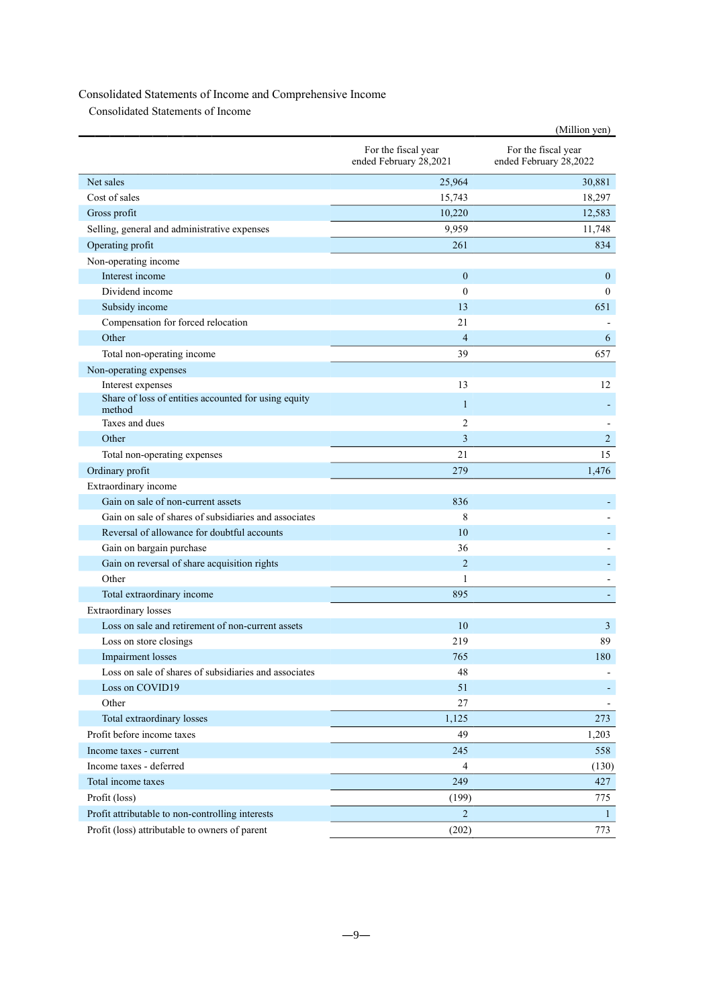# Consolidated Statements of Income and Comprehensive Income

Consolidated Statements of Income

| For the fiscal year<br>For the fiscal year<br>ended February 28,2021<br>ended February 28,2022<br>Net sales<br>25,964<br>30,881<br>Cost of sales<br>15,743<br>18,297<br>10,220<br>12,583<br>Gross profit<br>Selling, general and administrative expenses<br>9,959<br>11,748<br>Operating profit<br>261<br>834<br>Non-operating income<br>Interest income<br>$\mathbf{0}$<br>$\mathbf{0}$<br>Dividend income<br>$\theta$<br>$\mathbf{0}$<br>Subsidy income<br>13<br>651<br>Compensation for forced relocation<br>21<br>Other<br>$\overline{4}$<br>6<br>Total non-operating income<br>39<br>657<br>Non-operating expenses<br>Interest expenses<br>13<br>12<br>Share of loss of entities accounted for using equity<br>$\mathbf{1}$<br>method<br>Taxes and dues<br>2<br>Other<br>3<br>$\overline{2}$<br>21<br>15<br>Total non-operating expenses<br>Ordinary profit<br>279<br>1,476<br>Extraordinary income<br>Gain on sale of non-current assets<br>836<br>Gain on sale of shares of subsidiaries and associates<br>8<br>Reversal of allowance for doubtful accounts<br>10<br>36<br>Gain on bargain purchase<br>Gain on reversal of share acquisition rights<br>$\overline{2}$<br>Other<br>1<br>Total extraordinary income<br>895<br><b>Extraordinary</b> losses<br>Loss on sale and retirement of non-current assets<br>10<br>3<br>89<br>219<br>Loss on store closings<br>Impairment losses<br>765<br>180<br>Loss on sale of shares of subsidiaries and associates<br>48<br>Loss on COVID19<br>51<br>Other<br>27<br>Total extraordinary losses<br>1,125<br>273<br>Profit before income taxes<br>49<br>1,203<br>245<br>Income taxes - current<br>558<br>Income taxes - deferred<br>4<br>(130)<br>Total income taxes<br>249<br>427<br>Profit (loss)<br>(199)<br>775<br>$\overline{2}$<br>Profit attributable to non-controlling interests<br>$\mathbf{1}$ |                                                |       | (Million yen) |
|--------------------------------------------------------------------------------------------------------------------------------------------------------------------------------------------------------------------------------------------------------------------------------------------------------------------------------------------------------------------------------------------------------------------------------------------------------------------------------------------------------------------------------------------------------------------------------------------------------------------------------------------------------------------------------------------------------------------------------------------------------------------------------------------------------------------------------------------------------------------------------------------------------------------------------------------------------------------------------------------------------------------------------------------------------------------------------------------------------------------------------------------------------------------------------------------------------------------------------------------------------------------------------------------------------------------------------------------------------------------------------------------------------------------------------------------------------------------------------------------------------------------------------------------------------------------------------------------------------------------------------------------------------------------------------------------------------------------------------------------------------------------------------------------------------------------------------------------------------|------------------------------------------------|-------|---------------|
|                                                                                                                                                                                                                                                                                                                                                                                                                                                                                                                                                                                                                                                                                                                                                                                                                                                                                                                                                                                                                                                                                                                                                                                                                                                                                                                                                                                                                                                                                                                                                                                                                                                                                                                                                                                                                                                        |                                                |       |               |
|                                                                                                                                                                                                                                                                                                                                                                                                                                                                                                                                                                                                                                                                                                                                                                                                                                                                                                                                                                                                                                                                                                                                                                                                                                                                                                                                                                                                                                                                                                                                                                                                                                                                                                                                                                                                                                                        |                                                |       |               |
|                                                                                                                                                                                                                                                                                                                                                                                                                                                                                                                                                                                                                                                                                                                                                                                                                                                                                                                                                                                                                                                                                                                                                                                                                                                                                                                                                                                                                                                                                                                                                                                                                                                                                                                                                                                                                                                        |                                                |       |               |
|                                                                                                                                                                                                                                                                                                                                                                                                                                                                                                                                                                                                                                                                                                                                                                                                                                                                                                                                                                                                                                                                                                                                                                                                                                                                                                                                                                                                                                                                                                                                                                                                                                                                                                                                                                                                                                                        |                                                |       |               |
|                                                                                                                                                                                                                                                                                                                                                                                                                                                                                                                                                                                                                                                                                                                                                                                                                                                                                                                                                                                                                                                                                                                                                                                                                                                                                                                                                                                                                                                                                                                                                                                                                                                                                                                                                                                                                                                        |                                                |       |               |
|                                                                                                                                                                                                                                                                                                                                                                                                                                                                                                                                                                                                                                                                                                                                                                                                                                                                                                                                                                                                                                                                                                                                                                                                                                                                                                                                                                                                                                                                                                                                                                                                                                                                                                                                                                                                                                                        |                                                |       |               |
|                                                                                                                                                                                                                                                                                                                                                                                                                                                                                                                                                                                                                                                                                                                                                                                                                                                                                                                                                                                                                                                                                                                                                                                                                                                                                                                                                                                                                                                                                                                                                                                                                                                                                                                                                                                                                                                        |                                                |       |               |
|                                                                                                                                                                                                                                                                                                                                                                                                                                                                                                                                                                                                                                                                                                                                                                                                                                                                                                                                                                                                                                                                                                                                                                                                                                                                                                                                                                                                                                                                                                                                                                                                                                                                                                                                                                                                                                                        |                                                |       |               |
|                                                                                                                                                                                                                                                                                                                                                                                                                                                                                                                                                                                                                                                                                                                                                                                                                                                                                                                                                                                                                                                                                                                                                                                                                                                                                                                                                                                                                                                                                                                                                                                                                                                                                                                                                                                                                                                        |                                                |       |               |
|                                                                                                                                                                                                                                                                                                                                                                                                                                                                                                                                                                                                                                                                                                                                                                                                                                                                                                                                                                                                                                                                                                                                                                                                                                                                                                                                                                                                                                                                                                                                                                                                                                                                                                                                                                                                                                                        |                                                |       |               |
|                                                                                                                                                                                                                                                                                                                                                                                                                                                                                                                                                                                                                                                                                                                                                                                                                                                                                                                                                                                                                                                                                                                                                                                                                                                                                                                                                                                                                                                                                                                                                                                                                                                                                                                                                                                                                                                        |                                                |       |               |
|                                                                                                                                                                                                                                                                                                                                                                                                                                                                                                                                                                                                                                                                                                                                                                                                                                                                                                                                                                                                                                                                                                                                                                                                                                                                                                                                                                                                                                                                                                                                                                                                                                                                                                                                                                                                                                                        |                                                |       |               |
|                                                                                                                                                                                                                                                                                                                                                                                                                                                                                                                                                                                                                                                                                                                                                                                                                                                                                                                                                                                                                                                                                                                                                                                                                                                                                                                                                                                                                                                                                                                                                                                                                                                                                                                                                                                                                                                        |                                                |       |               |
|                                                                                                                                                                                                                                                                                                                                                                                                                                                                                                                                                                                                                                                                                                                                                                                                                                                                                                                                                                                                                                                                                                                                                                                                                                                                                                                                                                                                                                                                                                                                                                                                                                                                                                                                                                                                                                                        |                                                |       |               |
|                                                                                                                                                                                                                                                                                                                                                                                                                                                                                                                                                                                                                                                                                                                                                                                                                                                                                                                                                                                                                                                                                                                                                                                                                                                                                                                                                                                                                                                                                                                                                                                                                                                                                                                                                                                                                                                        |                                                |       |               |
|                                                                                                                                                                                                                                                                                                                                                                                                                                                                                                                                                                                                                                                                                                                                                                                                                                                                                                                                                                                                                                                                                                                                                                                                                                                                                                                                                                                                                                                                                                                                                                                                                                                                                                                                                                                                                                                        |                                                |       |               |
|                                                                                                                                                                                                                                                                                                                                                                                                                                                                                                                                                                                                                                                                                                                                                                                                                                                                                                                                                                                                                                                                                                                                                                                                                                                                                                                                                                                                                                                                                                                                                                                                                                                                                                                                                                                                                                                        |                                                |       |               |
|                                                                                                                                                                                                                                                                                                                                                                                                                                                                                                                                                                                                                                                                                                                                                                                                                                                                                                                                                                                                                                                                                                                                                                                                                                                                                                                                                                                                                                                                                                                                                                                                                                                                                                                                                                                                                                                        |                                                |       |               |
|                                                                                                                                                                                                                                                                                                                                                                                                                                                                                                                                                                                                                                                                                                                                                                                                                                                                                                                                                                                                                                                                                                                                                                                                                                                                                                                                                                                                                                                                                                                                                                                                                                                                                                                                                                                                                                                        |                                                |       |               |
|                                                                                                                                                                                                                                                                                                                                                                                                                                                                                                                                                                                                                                                                                                                                                                                                                                                                                                                                                                                                                                                                                                                                                                                                                                                                                                                                                                                                                                                                                                                                                                                                                                                                                                                                                                                                                                                        |                                                |       |               |
|                                                                                                                                                                                                                                                                                                                                                                                                                                                                                                                                                                                                                                                                                                                                                                                                                                                                                                                                                                                                                                                                                                                                                                                                                                                                                                                                                                                                                                                                                                                                                                                                                                                                                                                                                                                                                                                        |                                                |       |               |
|                                                                                                                                                                                                                                                                                                                                                                                                                                                                                                                                                                                                                                                                                                                                                                                                                                                                                                                                                                                                                                                                                                                                                                                                                                                                                                                                                                                                                                                                                                                                                                                                                                                                                                                                                                                                                                                        |                                                |       |               |
|                                                                                                                                                                                                                                                                                                                                                                                                                                                                                                                                                                                                                                                                                                                                                                                                                                                                                                                                                                                                                                                                                                                                                                                                                                                                                                                                                                                                                                                                                                                                                                                                                                                                                                                                                                                                                                                        |                                                |       |               |
|                                                                                                                                                                                                                                                                                                                                                                                                                                                                                                                                                                                                                                                                                                                                                                                                                                                                                                                                                                                                                                                                                                                                                                                                                                                                                                                                                                                                                                                                                                                                                                                                                                                                                                                                                                                                                                                        |                                                |       |               |
|                                                                                                                                                                                                                                                                                                                                                                                                                                                                                                                                                                                                                                                                                                                                                                                                                                                                                                                                                                                                                                                                                                                                                                                                                                                                                                                                                                                                                                                                                                                                                                                                                                                                                                                                                                                                                                                        |                                                |       |               |
|                                                                                                                                                                                                                                                                                                                                                                                                                                                                                                                                                                                                                                                                                                                                                                                                                                                                                                                                                                                                                                                                                                                                                                                                                                                                                                                                                                                                                                                                                                                                                                                                                                                                                                                                                                                                                                                        |                                                |       |               |
|                                                                                                                                                                                                                                                                                                                                                                                                                                                                                                                                                                                                                                                                                                                                                                                                                                                                                                                                                                                                                                                                                                                                                                                                                                                                                                                                                                                                                                                                                                                                                                                                                                                                                                                                                                                                                                                        |                                                |       |               |
|                                                                                                                                                                                                                                                                                                                                                                                                                                                                                                                                                                                                                                                                                                                                                                                                                                                                                                                                                                                                                                                                                                                                                                                                                                                                                                                                                                                                                                                                                                                                                                                                                                                                                                                                                                                                                                                        |                                                |       |               |
|                                                                                                                                                                                                                                                                                                                                                                                                                                                                                                                                                                                                                                                                                                                                                                                                                                                                                                                                                                                                                                                                                                                                                                                                                                                                                                                                                                                                                                                                                                                                                                                                                                                                                                                                                                                                                                                        |                                                |       |               |
|                                                                                                                                                                                                                                                                                                                                                                                                                                                                                                                                                                                                                                                                                                                                                                                                                                                                                                                                                                                                                                                                                                                                                                                                                                                                                                                                                                                                                                                                                                                                                                                                                                                                                                                                                                                                                                                        |                                                |       |               |
|                                                                                                                                                                                                                                                                                                                                                                                                                                                                                                                                                                                                                                                                                                                                                                                                                                                                                                                                                                                                                                                                                                                                                                                                                                                                                                                                                                                                                                                                                                                                                                                                                                                                                                                                                                                                                                                        |                                                |       |               |
|                                                                                                                                                                                                                                                                                                                                                                                                                                                                                                                                                                                                                                                                                                                                                                                                                                                                                                                                                                                                                                                                                                                                                                                                                                                                                                                                                                                                                                                                                                                                                                                                                                                                                                                                                                                                                                                        |                                                |       |               |
|                                                                                                                                                                                                                                                                                                                                                                                                                                                                                                                                                                                                                                                                                                                                                                                                                                                                                                                                                                                                                                                                                                                                                                                                                                                                                                                                                                                                                                                                                                                                                                                                                                                                                                                                                                                                                                                        |                                                |       |               |
|                                                                                                                                                                                                                                                                                                                                                                                                                                                                                                                                                                                                                                                                                                                                                                                                                                                                                                                                                                                                                                                                                                                                                                                                                                                                                                                                                                                                                                                                                                                                                                                                                                                                                                                                                                                                                                                        |                                                |       |               |
|                                                                                                                                                                                                                                                                                                                                                                                                                                                                                                                                                                                                                                                                                                                                                                                                                                                                                                                                                                                                                                                                                                                                                                                                                                                                                                                                                                                                                                                                                                                                                                                                                                                                                                                                                                                                                                                        |                                                |       |               |
|                                                                                                                                                                                                                                                                                                                                                                                                                                                                                                                                                                                                                                                                                                                                                                                                                                                                                                                                                                                                                                                                                                                                                                                                                                                                                                                                                                                                                                                                                                                                                                                                                                                                                                                                                                                                                                                        |                                                |       |               |
|                                                                                                                                                                                                                                                                                                                                                                                                                                                                                                                                                                                                                                                                                                                                                                                                                                                                                                                                                                                                                                                                                                                                                                                                                                                                                                                                                                                                                                                                                                                                                                                                                                                                                                                                                                                                                                                        |                                                |       |               |
|                                                                                                                                                                                                                                                                                                                                                                                                                                                                                                                                                                                                                                                                                                                                                                                                                                                                                                                                                                                                                                                                                                                                                                                                                                                                                                                                                                                                                                                                                                                                                                                                                                                                                                                                                                                                                                                        |                                                |       |               |
|                                                                                                                                                                                                                                                                                                                                                                                                                                                                                                                                                                                                                                                                                                                                                                                                                                                                                                                                                                                                                                                                                                                                                                                                                                                                                                                                                                                                                                                                                                                                                                                                                                                                                                                                                                                                                                                        |                                                |       |               |
|                                                                                                                                                                                                                                                                                                                                                                                                                                                                                                                                                                                                                                                                                                                                                                                                                                                                                                                                                                                                                                                                                                                                                                                                                                                                                                                                                                                                                                                                                                                                                                                                                                                                                                                                                                                                                                                        |                                                |       |               |
|                                                                                                                                                                                                                                                                                                                                                                                                                                                                                                                                                                                                                                                                                                                                                                                                                                                                                                                                                                                                                                                                                                                                                                                                                                                                                                                                                                                                                                                                                                                                                                                                                                                                                                                                                                                                                                                        |                                                |       |               |
|                                                                                                                                                                                                                                                                                                                                                                                                                                                                                                                                                                                                                                                                                                                                                                                                                                                                                                                                                                                                                                                                                                                                                                                                                                                                                                                                                                                                                                                                                                                                                                                                                                                                                                                                                                                                                                                        |                                                |       |               |
|                                                                                                                                                                                                                                                                                                                                                                                                                                                                                                                                                                                                                                                                                                                                                                                                                                                                                                                                                                                                                                                                                                                                                                                                                                                                                                                                                                                                                                                                                                                                                                                                                                                                                                                                                                                                                                                        | Profit (loss) attributable to owners of parent | (202) | 773           |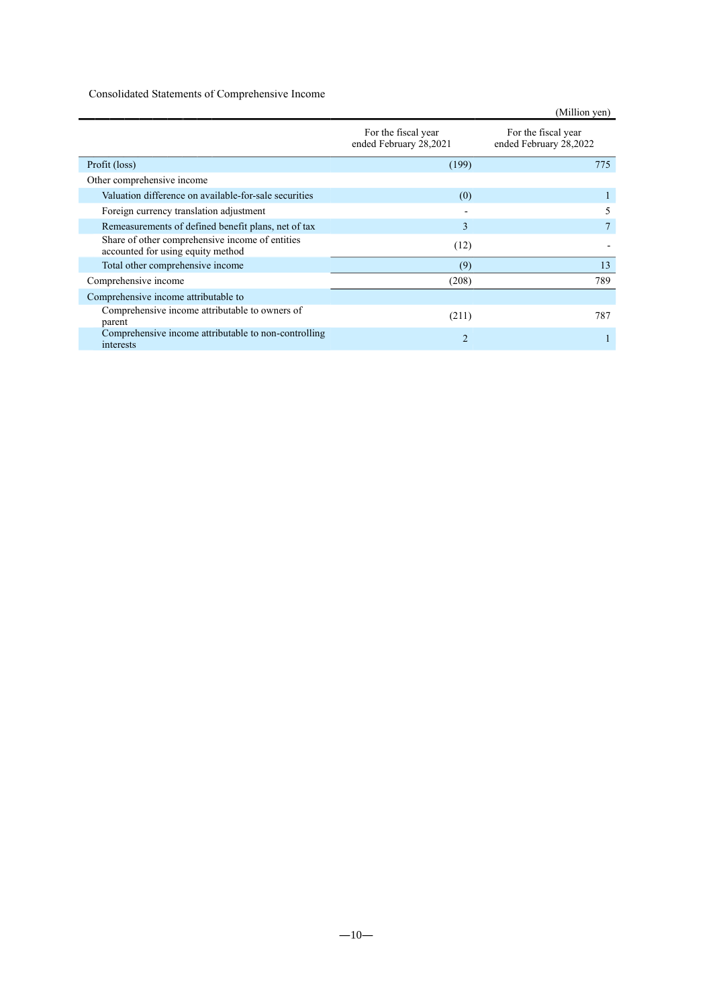# Consolidated Statements of Comprehensive Income

|                                                                                      |                                               | (Million yen)                                 |
|--------------------------------------------------------------------------------------|-----------------------------------------------|-----------------------------------------------|
|                                                                                      | For the fiscal year<br>ended February 28,2021 | For the fiscal year<br>ended February 28,2022 |
| Profit (loss)                                                                        | (199)                                         | 775                                           |
| Other comprehensive income                                                           |                                               |                                               |
| Valuation difference on available-for-sale securities                                | (0)                                           |                                               |
| Foreign currency translation adjustment                                              |                                               | .5                                            |
| Remeasurements of defined benefit plans, net of tax                                  | 3                                             |                                               |
| Share of other comprehensive income of entities<br>accounted for using equity method | (12)                                          |                                               |
| Total other comprehensive income                                                     | (9)                                           | 13                                            |
| Comprehensive income                                                                 | (208)                                         | 789                                           |
| Comprehensive income attributable to                                                 |                                               |                                               |
| Comprehensive income attributable to owners of<br>parent                             | (211)                                         | 787                                           |
| Comprehensive income attributable to non-controlling<br>interests                    | $\overline{2}$                                |                                               |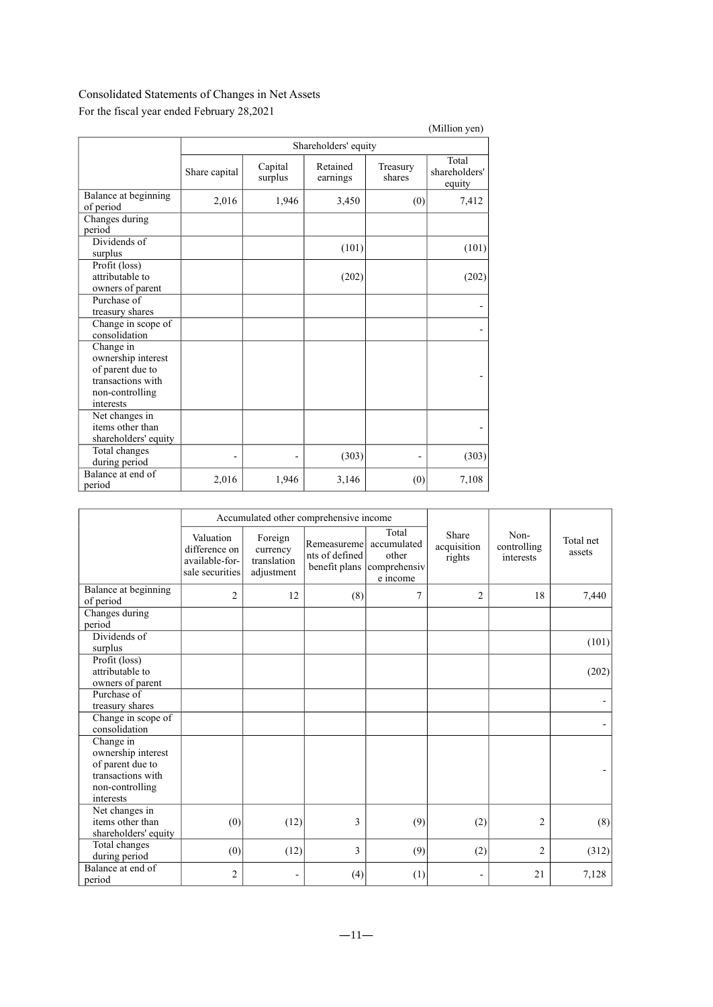# Consolidated Statements of Changes in Net Assets

|                                                                                                          |               |                    |                      |                    | (Million yen)                    |
|----------------------------------------------------------------------------------------------------------|---------------|--------------------|----------------------|--------------------|----------------------------------|
|                                                                                                          |               |                    | Shareholders' equity |                    |                                  |
|                                                                                                          | Share capital | Capital<br>surplus | Retained<br>earnings | Treasury<br>shares | Total<br>shareholders'<br>equity |
| Balance at beginning<br>of period                                                                        | 2,016         | 1,946              | 3,450                | (0)                | 7,412                            |
| Changes during<br>period                                                                                 |               |                    |                      |                    |                                  |
| Dividends of<br>surplus                                                                                  |               |                    | (101)                |                    | (101)                            |
| Profit (loss)<br>attributable to<br>owners of parent                                                     |               |                    | (202)                |                    | (202)                            |
| Purchase of<br>treasury shares                                                                           |               |                    |                      |                    |                                  |
| Change in scope of<br>consolidation                                                                      |               |                    |                      |                    |                                  |
| Change in<br>ownership interest<br>of parent due to<br>transactions with<br>non-controlling<br>interests |               |                    |                      |                    |                                  |
| Net changes in<br>items other than<br>shareholders' equity                                               |               |                    |                      |                    |                                  |
| Total changes<br>during period                                                                           |               |                    | (303)                |                    | (303)                            |
| Balance at end of<br>period                                                                              | 2,016         | 1,946              | 3,146                | (0)                | 7,108                            |

For the fiscal year ended February 28,2021

|                                                                          |                                                                 |                                                  | Accumulated other comprehensive income         |                                                           |                                |                                  |                     |
|--------------------------------------------------------------------------|-----------------------------------------------------------------|--------------------------------------------------|------------------------------------------------|-----------------------------------------------------------|--------------------------------|----------------------------------|---------------------|
|                                                                          | Valuation<br>difference on<br>available-for-<br>sale securities | Foreign<br>currency<br>translation<br>adjustment | Remeasureme<br>nts of defined<br>benefit plans | Total<br>accumulated<br>other<br>comprehensiv<br>e income | Share<br>acquisition<br>rights | Non-<br>controlling<br>interests | Total net<br>assets |
| Balance at beginning<br>of period                                        | $\overline{2}$                                                  | 12                                               | (8)                                            | 7                                                         | $\overline{2}$                 | 18                               | 7,440               |
| Changes during<br>period                                                 |                                                                 |                                                  |                                                |                                                           |                                |                                  |                     |
| Dividends of<br>surplus                                                  |                                                                 |                                                  |                                                |                                                           |                                |                                  | (101)               |
| Profit (loss)<br>attributable to<br>owners of parent                     |                                                                 |                                                  |                                                |                                                           |                                |                                  | (202)               |
| Purchase of<br>treasury shares                                           |                                                                 |                                                  |                                                |                                                           |                                |                                  |                     |
| Change in scope of<br>consolidation                                      |                                                                 |                                                  |                                                |                                                           |                                |                                  |                     |
| Change in<br>ownership interest<br>of parent due to<br>transactions with |                                                                 |                                                  |                                                |                                                           |                                |                                  |                     |
| non-controlling<br>interests                                             |                                                                 |                                                  |                                                |                                                           |                                |                                  |                     |
| Net changes in<br>items other than<br>shareholders' equity               | (0)                                                             | (12)                                             | 3                                              | (9)                                                       | (2)                            | $\overline{c}$                   | (8)                 |
| Total changes<br>during period                                           | (0)                                                             | (12)                                             | 3                                              | (9)                                                       | (2)                            | $\overline{2}$                   | (312)               |
| Balance at end of<br>period                                              | 2                                                               |                                                  | (4)                                            | (1)                                                       |                                | 21                               | 7,128               |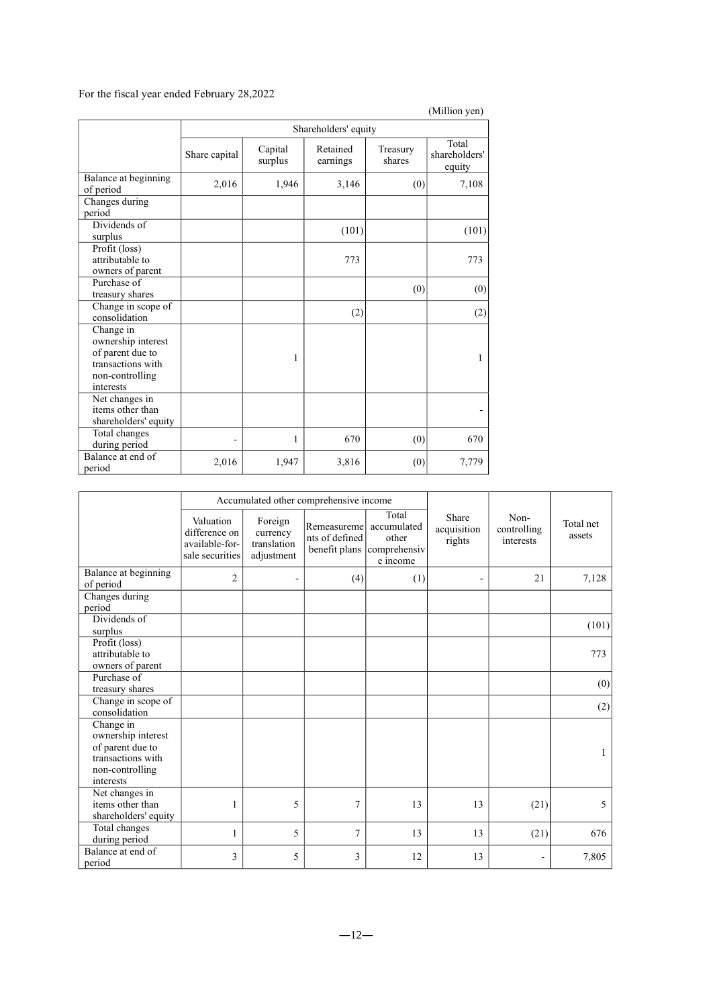# For the fiscal year ended February 28,2022

|                                                                                                          |               |                      |                      |                    | (Million yen)                    |  |  |
|----------------------------------------------------------------------------------------------------------|---------------|----------------------|----------------------|--------------------|----------------------------------|--|--|
|                                                                                                          |               | Shareholders' equity |                      |                    |                                  |  |  |
|                                                                                                          | Share capital | Capital<br>surplus   | Retained<br>earnings | Treasury<br>shares | Total<br>shareholders'<br>equity |  |  |
| Balance at beginning<br>of period                                                                        | 2,016         | 1,946                | 3,146                | (0)                | 7,108                            |  |  |
| Changes during<br>period                                                                                 |               |                      |                      |                    |                                  |  |  |
| Dividends of<br>surplus                                                                                  |               |                      | (101)                |                    | (101)                            |  |  |
| Profit (loss)<br>attributable to<br>owners of parent                                                     |               |                      | 773                  |                    | 773                              |  |  |
| Purchase of<br>treasury shares                                                                           |               |                      |                      | (0)                | (0)                              |  |  |
| Change in scope of<br>consolidation                                                                      |               |                      | (2)                  |                    | (2)                              |  |  |
| Change in<br>ownership interest<br>of parent due to<br>transactions with<br>non-controlling<br>interests |               | 1                    |                      |                    | 1                                |  |  |
| Net changes in<br>items other than<br>shareholders' equity                                               |               |                      |                      |                    |                                  |  |  |
| Total changes<br>during period                                                                           |               | 1                    | 670                  | (0)                | 670                              |  |  |
| Balance at end of<br>period                                                                              | 2,016         | 1,947                | 3,816                | (0)                | 7,779                            |  |  |

|                                                                                                          |                                                                 | Accumulated other comprehensive income           |                                                            |                                            |                                |                                  |                     |
|----------------------------------------------------------------------------------------------------------|-----------------------------------------------------------------|--------------------------------------------------|------------------------------------------------------------|--------------------------------------------|--------------------------------|----------------------------------|---------------------|
|                                                                                                          | Valuation<br>difference on<br>available-for-<br>sale securities | Foreign<br>currency<br>translation<br>adjustment | Remeasureme accumulated<br>nts of defined<br>benefit plans | Total<br>other<br>comprehensiv<br>e income | Share<br>acquisition<br>rights | Non-<br>controlling<br>interests | Total net<br>assets |
| Balance at beginning<br>of period                                                                        | $\overline{2}$                                                  |                                                  | (4)                                                        | (1)                                        | $\blacksquare$                 | 21                               | 7,128               |
| Changes during<br>period                                                                                 |                                                                 |                                                  |                                                            |                                            |                                |                                  |                     |
| Dividends of<br>surplus                                                                                  |                                                                 |                                                  |                                                            |                                            |                                |                                  | (101)               |
| Profit (loss)<br>attributable to<br>owners of parent                                                     |                                                                 |                                                  |                                                            |                                            |                                |                                  | 773                 |
| Purchase of<br>treasury shares                                                                           |                                                                 |                                                  |                                                            |                                            |                                |                                  | (0)                 |
| Change in scope of<br>consolidation                                                                      |                                                                 |                                                  |                                                            |                                            |                                |                                  | (2)                 |
| Change in<br>ownership interest<br>of parent due to<br>transactions with<br>non-controlling<br>interests |                                                                 |                                                  |                                                            |                                            |                                |                                  | 1                   |
| Net changes in<br>items other than<br>shareholders' equity                                               | 1                                                               | 5                                                | 7                                                          | 13                                         | 13                             | (21)                             | 5                   |
| Total changes<br>during period                                                                           | 1                                                               | 5                                                | 7                                                          | 13                                         | 13                             | (21)                             | 676                 |
| Balance at end of<br>period                                                                              | 3                                                               | 5                                                | 3                                                          | 12                                         | 13                             |                                  | 7,805               |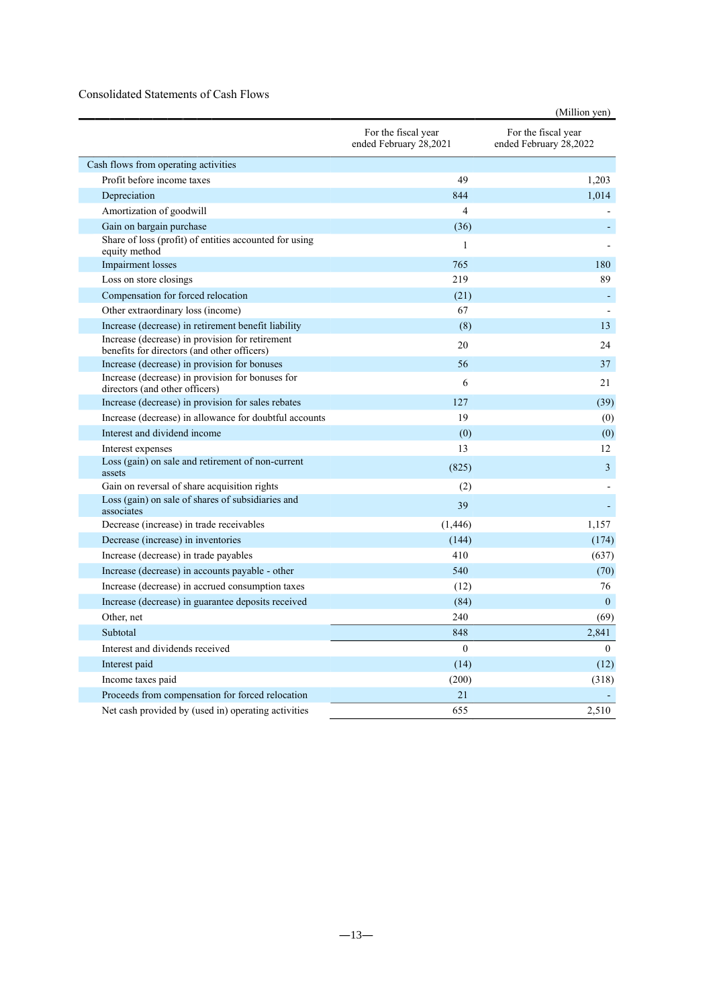# Consolidated Statements of Cash Flows

|                                                                                                |                                               | (Million yen)                                 |
|------------------------------------------------------------------------------------------------|-----------------------------------------------|-----------------------------------------------|
|                                                                                                | For the fiscal year<br>ended February 28,2021 | For the fiscal year<br>ended February 28,2022 |
| Cash flows from operating activities                                                           |                                               |                                               |
| Profit before income taxes                                                                     | 49                                            | 1,203                                         |
| Depreciation                                                                                   | 844                                           | 1.014                                         |
| Amortization of goodwill                                                                       | $\overline{4}$                                |                                               |
| Gain on bargain purchase                                                                       | (36)                                          |                                               |
| Share of loss (profit) of entities accounted for using<br>equity method                        | $\mathbf{1}$                                  |                                               |
| Impairment losses                                                                              | 765                                           | 180                                           |
| Loss on store closings                                                                         | 219                                           | 89                                            |
| Compensation for forced relocation                                                             | (21)                                          |                                               |
| Other extraordinary loss (income)                                                              | 67                                            |                                               |
| Increase (decrease) in retirement benefit liability                                            | (8)                                           | 13                                            |
| Increase (decrease) in provision for retirement<br>benefits for directors (and other officers) | 20                                            | 24                                            |
| Increase (decrease) in provision for bonuses                                                   | 56                                            | 37                                            |
| Increase (decrease) in provision for bonuses for<br>directors (and other officers)             | 6                                             | 21                                            |
| Increase (decrease) in provision for sales rebates                                             | 127                                           | (39)                                          |
| Increase (decrease) in allowance for doubtful accounts                                         | 19                                            | (0)                                           |
| Interest and dividend income                                                                   | (0)                                           | (0)                                           |
| Interest expenses                                                                              | 13                                            | 12                                            |
| Loss (gain) on sale and retirement of non-current<br>assets                                    | (825)                                         | 3                                             |
| Gain on reversal of share acquisition rights                                                   | (2)                                           |                                               |
| Loss (gain) on sale of shares of subsidiaries and<br>associates                                | 39                                            |                                               |
| Decrease (increase) in trade receivables                                                       | (1,446)                                       | 1.157                                         |
| Decrease (increase) in inventories                                                             | (144)                                         | (174)                                         |
| Increase (decrease) in trade payables                                                          | 410                                           | (637)                                         |
| Increase (decrease) in accounts payable - other                                                | 540                                           | (70)                                          |
| Increase (decrease) in accrued consumption taxes                                               | (12)                                          | 76                                            |
| Increase (decrease) in guarantee deposits received                                             | (84)                                          | $\mathbf{0}$                                  |
| Other, net                                                                                     | 240                                           | (69)                                          |
| Subtotal                                                                                       | 848                                           | 2,841                                         |
| Interest and dividends received                                                                | $\theta$                                      | $\theta$                                      |
| Interest paid                                                                                  | (14)                                          | (12)                                          |
| Income taxes paid                                                                              | (200)                                         | (318)                                         |
| Proceeds from compensation for forced relocation                                               | 21                                            |                                               |
| Net cash provided by (used in) operating activities                                            | 655                                           | 2,510                                         |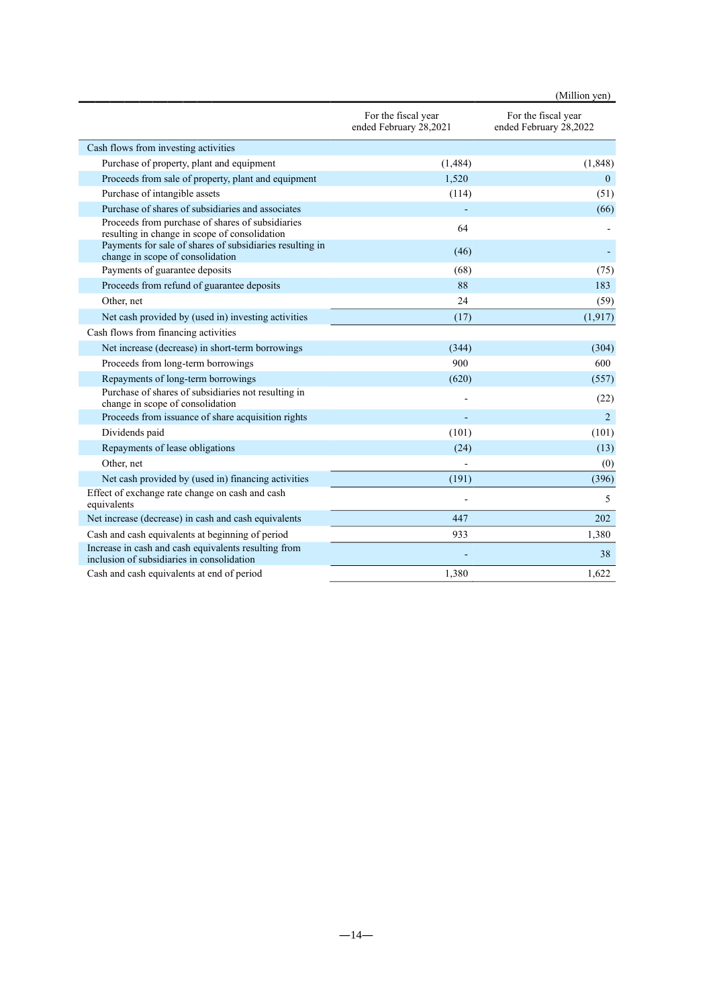|                                                                                                    |                                               | (Million yen)                                 |
|----------------------------------------------------------------------------------------------------|-----------------------------------------------|-----------------------------------------------|
|                                                                                                    | For the fiscal year<br>ended February 28,2021 | For the fiscal year<br>ended February 28,2022 |
| Cash flows from investing activities                                                               |                                               |                                               |
| Purchase of property, plant and equipment                                                          | (1, 484)                                      | (1, 848)                                      |
| Proceeds from sale of property, plant and equipment                                                | 1.520                                         | $\mathbf{0}$                                  |
| Purchase of intangible assets                                                                      | (114)                                         | (51)                                          |
| Purchase of shares of subsidiaries and associates                                                  |                                               | (66)                                          |
| Proceeds from purchase of shares of subsidiaries<br>resulting in change in scope of consolidation  | 64                                            |                                               |
| Payments for sale of shares of subsidiaries resulting in<br>change in scope of consolidation       | (46)                                          |                                               |
| Payments of guarantee deposits                                                                     | (68)                                          | (75)                                          |
| Proceeds from refund of guarantee deposits                                                         | 88                                            | 183                                           |
| Other, net                                                                                         | 24                                            | (59)                                          |
| Net cash provided by (used in) investing activities                                                | (17)                                          | (1, 917)                                      |
| Cash flows from financing activities                                                               |                                               |                                               |
| Net increase (decrease) in short-term borrowings                                                   | (344)                                         | (304)                                         |
| Proceeds from long-term borrowings                                                                 | 900                                           | 600                                           |
| Repayments of long-term borrowings                                                                 | (620)                                         | (557)                                         |
| Purchase of shares of subsidiaries not resulting in<br>change in scope of consolidation            |                                               | (22)                                          |
| Proceeds from issuance of share acquisition rights                                                 |                                               | 2                                             |
| Dividends paid                                                                                     | (101)                                         | (101)                                         |
| Repayments of lease obligations                                                                    | (24)                                          | (13)                                          |
| Other, net                                                                                         |                                               | (0)                                           |
| Net cash provided by (used in) financing activities                                                | (191)                                         | (396)                                         |
| Effect of exchange rate change on cash and cash<br>equivalents                                     |                                               | 5                                             |
| Net increase (decrease) in cash and cash equivalents                                               | 447                                           | 202                                           |
| Cash and cash equivalents at beginning of period                                                   | 933                                           | 1.380                                         |
| Increase in cash and cash equivalents resulting from<br>inclusion of subsidiaries in consolidation |                                               | 38                                            |
| Cash and cash equivalents at end of period                                                         | 1,380                                         | 1.622                                         |
|                                                                                                    |                                               |                                               |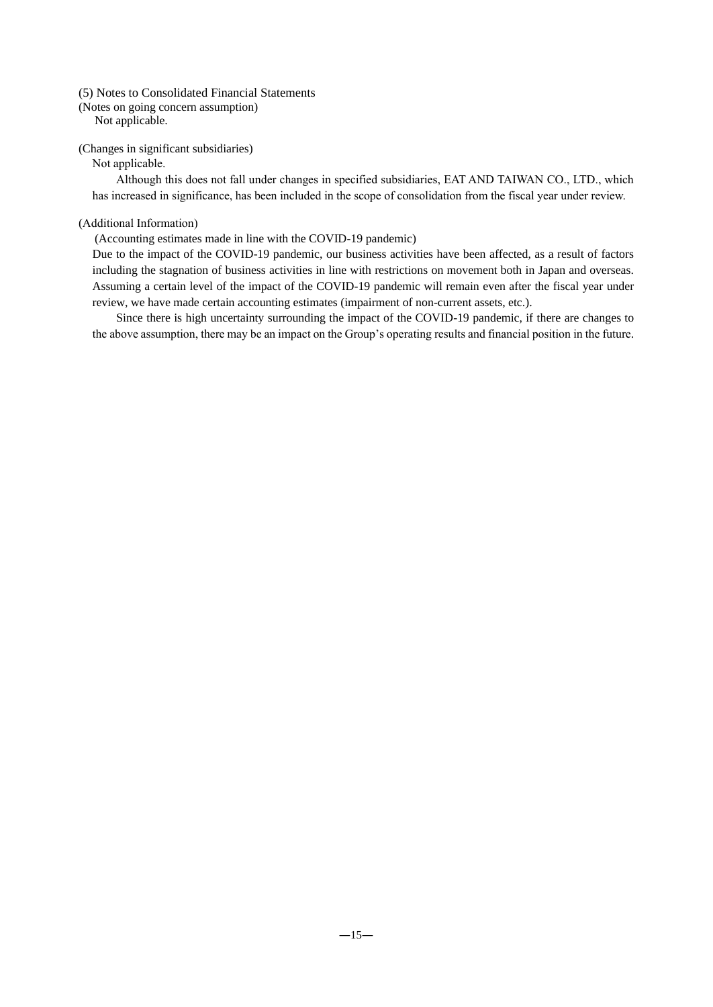## (5) Notes to Consolidated Financial Statements

(Notes on going concern assumption)

Not applicable.

## (Changes in significant subsidiaries)

## Not applicable.

Although this does not fall under changes in specified subsidiaries, EAT AND TAIWAN CO., LTD., which has increased in significance, has been included in the scope of consolidation from the fiscal year under review.

# (Additional Information)

(Accounting estimates made in line with the COVID-19 pandemic)

Due to the impact of the COVID-19 pandemic, our business activities have been affected, as a result of factors including the stagnation of business activities in line with restrictions on movement both in Japan and overseas. Assuming a certain level of the impact of the COVID-19 pandemic will remain even after the fiscal year under review, we have made certain accounting estimates (impairment of non-current assets, etc.).

Since there is high uncertainty surrounding the impact of the COVID-19 pandemic, if there are changes to the above assumption, there may be an impact on the Group's operating results and financial position in the future.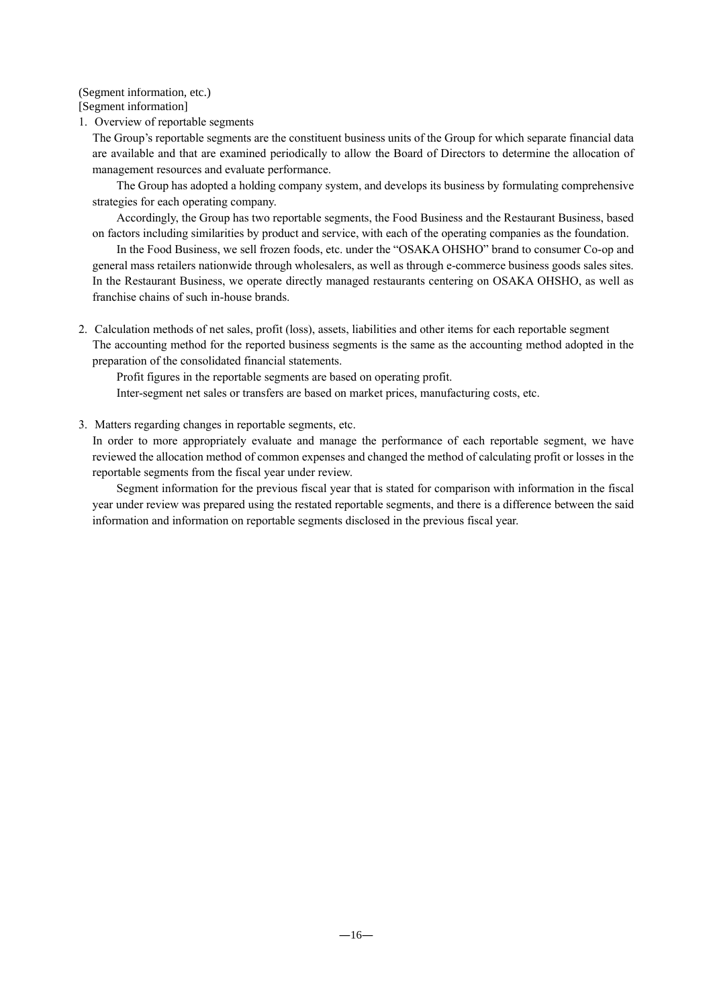(Segment information, etc.)

[Segment information]

1. Overview of reportable segments

The Group's reportable segments are the constituent business units of the Group for which separate financial data are available and that are examined periodically to allow the Board of Directors to determine the allocation of management resources and evaluate performance.

The Group has adopted a holding company system, and develops its business by formulating comprehensive strategies for each operating company.

Accordingly, the Group has two reportable segments, the Food Business and the Restaurant Business, based on factors including similarities by product and service, with each of the operating companies as the foundation.

In the Food Business, we sell frozen foods, etc. under the "OSAKA OHSHO" brand to consumer Co-op and general mass retailers nationwide through wholesalers, as well as through e-commerce business goods sales sites. In the Restaurant Business, we operate directly managed restaurants centering on OSAKA OHSHO, as well as franchise chains of such in-house brands.

2. Calculation methods of net sales, profit (loss), assets, liabilities and other items for each reportable segment The accounting method for the reported business segments is the same as the accounting method adopted in the preparation of the consolidated financial statements.

Profit figures in the reportable segments are based on operating profit.

Inter-segment net sales or transfers are based on market prices, manufacturing costs, etc.

3. Matters regarding changes in reportable segments, etc.

In order to more appropriately evaluate and manage the performance of each reportable segment, we have reviewed the allocation method of common expenses and changed the method of calculating profit or losses in the reportable segments from the fiscal year under review.

Segment information for the previous fiscal year that is stated for comparison with information in the fiscal year under review was prepared using the restated reportable segments, and there is a difference between the said information and information on reportable segments disclosed in the previous fiscal year.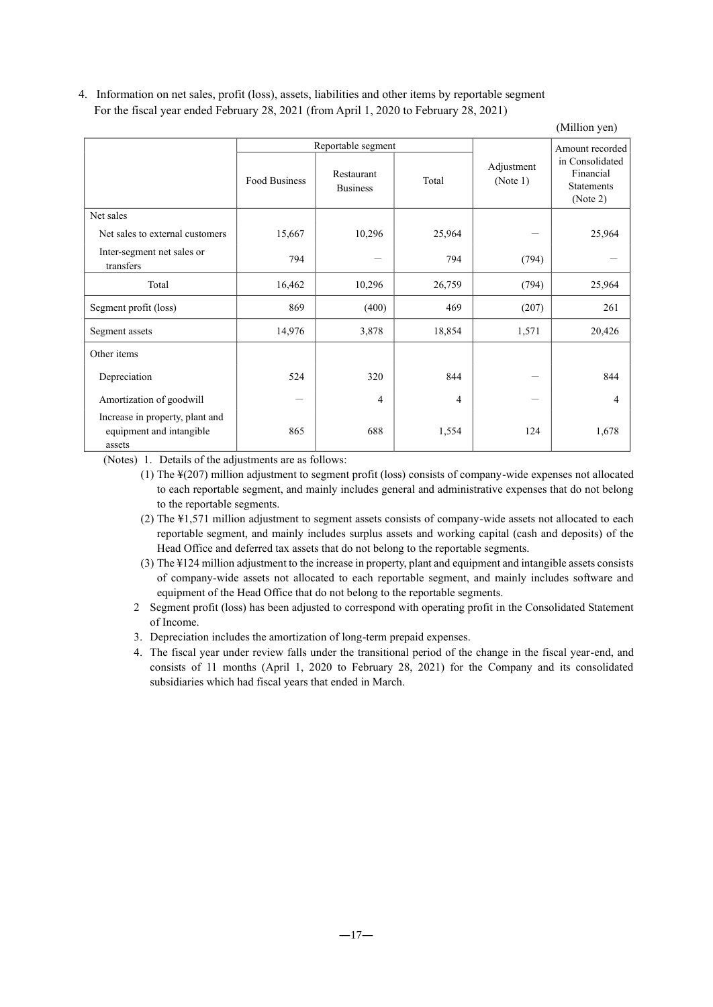4. Information on net sales, profit (loss), assets, liabilities and other items by reportable segment For the fiscal year ended February 28, 2021 (from April 1, 2020 to February 28, 2021)

(Million yen)

|                                                                       |                      | Reportable segment            |        |                        | Amount recorded                                               |
|-----------------------------------------------------------------------|----------------------|-------------------------------|--------|------------------------|---------------------------------------------------------------|
|                                                                       | <b>Food Business</b> | Restaurant<br><b>Business</b> | Total  | Adjustment<br>(Note 1) | in Consolidated<br>Financial<br><b>Statements</b><br>(Note 2) |
| Net sales                                                             |                      |                               |        |                        |                                                               |
| Net sales to external customers                                       | 15,667               | 10,296                        | 25,964 |                        | 25,964                                                        |
| Inter-segment net sales or<br>transfers                               | 794                  |                               | 794    | (794)                  |                                                               |
| Total                                                                 | 16,462               | 10,296                        | 26,759 | (794)                  | 25,964                                                        |
| Segment profit (loss)                                                 | 869                  | (400)                         | 469    | (207)                  | 261                                                           |
| Segment assets                                                        | 14,976               | 3,878                         | 18,854 | 1,571                  | 20,426                                                        |
| Other items                                                           |                      |                               |        |                        |                                                               |
| Depreciation                                                          | 524                  | 320                           | 844    |                        | 844                                                           |
| Amortization of goodwill                                              |                      | 4                             | 4      |                        | 4                                                             |
| Increase in property, plant and<br>equipment and intangible<br>assets | 865                  | 688                           | 1,554  | 124                    | 1,678                                                         |

(Notes) 1. Details of the adjustments are as follows:

(1) The ¥(207) million adjustment to segment profit (loss) consists of company-wide expenses not allocated to each reportable segment, and mainly includes general and administrative expenses that do not belong to the reportable segments.

(2) The ¥1,571 million adjustment to segment assets consists of company-wide assets not allocated to each reportable segment, and mainly includes surplus assets and working capital (cash and deposits) of the Head Office and deferred tax assets that do not belong to the reportable segments.

(3) The ¥124 million adjustment to the increase in property, plant and equipment and intangible assets consists of company-wide assets not allocated to each reportable segment, and mainly includes software and equipment of the Head Office that do not belong to the reportable segments.

- 2 Segment profit (loss) has been adjusted to correspond with operating profit in the Consolidated Statement of Income.
- 3. Depreciation includes the amortization of long-term prepaid expenses.
- 4. The fiscal year under review falls under the transitional period of the change in the fiscal year-end, and consists of 11 months (April 1, 2020 to February 28, 2021) for the Company and its consolidated subsidiaries which had fiscal years that ended in March.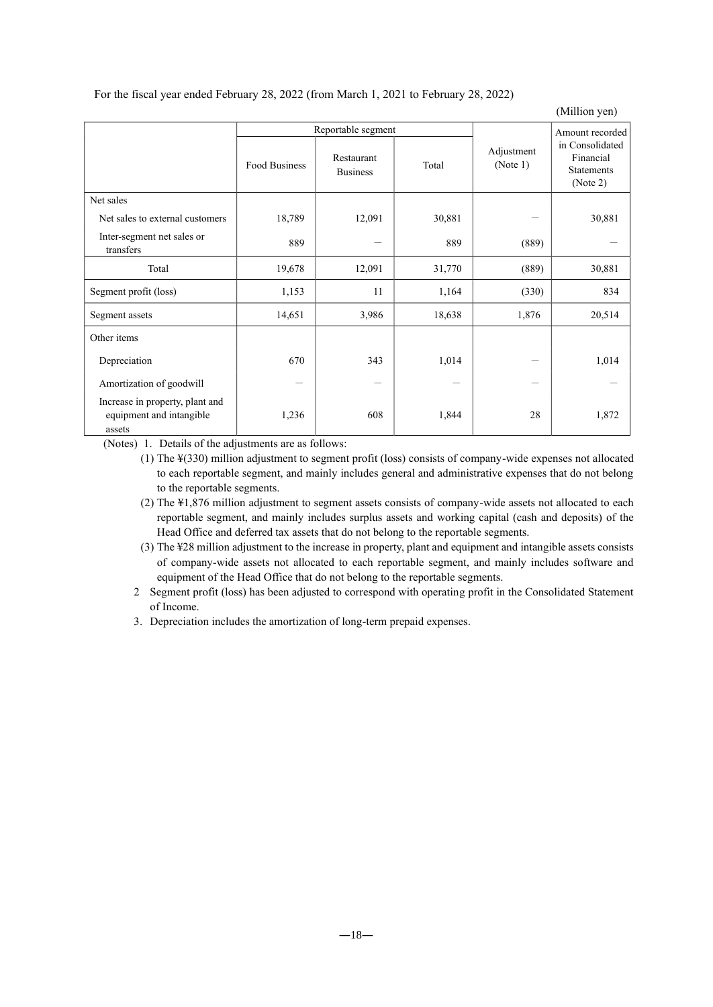For the fiscal year ended February 28, 2022 (from March 1, 2021 to February 28, 2022)

(Million yen)

|                                                                       |               | Reportable segment            |        | Amount recorded        |                                                               |
|-----------------------------------------------------------------------|---------------|-------------------------------|--------|------------------------|---------------------------------------------------------------|
|                                                                       | Food Business | Restaurant<br><b>Business</b> | Total  | Adjustment<br>(Note 1) | in Consolidated<br>Financial<br><b>Statements</b><br>(Note 2) |
| Net sales                                                             |               |                               |        |                        |                                                               |
| Net sales to external customers                                       | 18,789        | 12,091                        | 30,881 |                        | 30,881                                                        |
| Inter-segment net sales or<br>transfers                               | 889           |                               | 889    | (889)                  |                                                               |
| Total                                                                 | 19,678        | 12,091                        | 31,770 | (889)                  | 30,881                                                        |
| Segment profit (loss)                                                 | 1,153         | 11                            | 1,164  | (330)                  | 834                                                           |
| Segment assets                                                        | 14,651        | 3,986                         | 18,638 | 1,876                  | 20,514                                                        |
| Other items                                                           |               |                               |        |                        |                                                               |
| Depreciation                                                          | 670           | 343                           | 1,014  | —                      | 1,014                                                         |
| Amortization of goodwill                                              |               |                               |        |                        |                                                               |
| Increase in property, plant and<br>equipment and intangible<br>assets | 1,236         | 608                           | 1,844  | 28                     | 1,872                                                         |

(Notes) 1. Details of the adjustments are as follows:

(1) The ¥(330) million adjustment to segment profit (loss) consists of company-wide expenses not allocated to each reportable segment, and mainly includes general and administrative expenses that do not belong to the reportable segments.

- (2) The ¥1,876 million adjustment to segment assets consists of company-wide assets not allocated to each reportable segment, and mainly includes surplus assets and working capital (cash and deposits) of the Head Office and deferred tax assets that do not belong to the reportable segments.
- (3) The ¥28 million adjustment to the increase in property, plant and equipment and intangible assets consists of company-wide assets not allocated to each reportable segment, and mainly includes software and equipment of the Head Office that do not belong to the reportable segments.
- 2 Segment profit (loss) has been adjusted to correspond with operating profit in the Consolidated Statement of Income.
- 3. Depreciation includes the amortization of long-term prepaid expenses.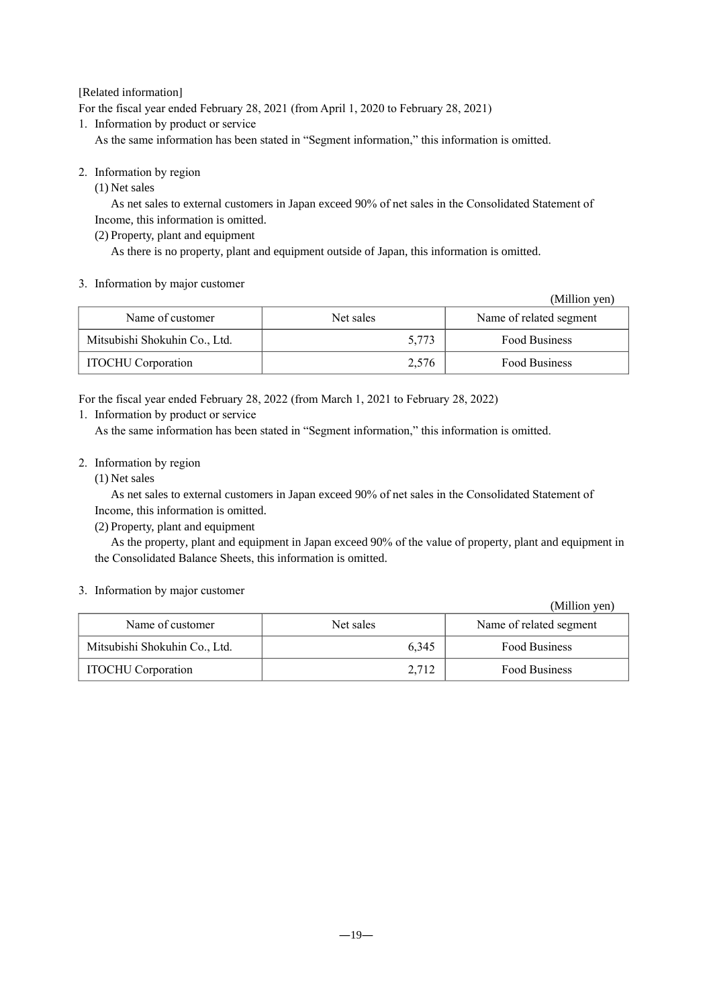# [Related information]

For the fiscal year ended February 28, 2021 (from April 1, 2020 to February 28, 2021)

1. Information by product or service

As the same information has been stated in "Segment information," this information is omitted.

- 2. Information by region
	- (1) Net sales

As net sales to external customers in Japan exceed 90% of net sales in the Consolidated Statement of Income, this information is omitted.

(2) Property, plant and equipment

As there is no property, plant and equipment outside of Japan, this information is omitted.

# 3. Information by major customer

|                               |           | (Million yen)           |
|-------------------------------|-----------|-------------------------|
| Name of customer              | Net sales | Name of related segment |
| Mitsubishi Shokuhin Co., Ltd. | 5,773     | Food Business           |
| <b>ITOCHU</b> Corporation     | 2,576     | Food Business           |

For the fiscal year ended February 28, 2022 (from March 1, 2021 to February 28, 2022)

1. Information by product or service

As the same information has been stated in "Segment information," this information is omitted.

# 2. Information by region

# (1) Net sales

As net sales to external customers in Japan exceed 90% of net sales in the Consolidated Statement of Income, this information is omitted.

(2) Property, plant and equipment

As the property, plant and equipment in Japan exceed 90% of the value of property, plant and equipment in the Consolidated Balance Sheets, this information is omitted.

# 3. Information by major customer

|                               |           | (Million yen)           |
|-------------------------------|-----------|-------------------------|
| Name of customer              | Net sales | Name of related segment |
| Mitsubishi Shokuhin Co., Ltd. | 6.345     | <b>Food Business</b>    |
| <b>ITOCHU</b> Corporation     | 2,712     | <b>Food Business</b>    |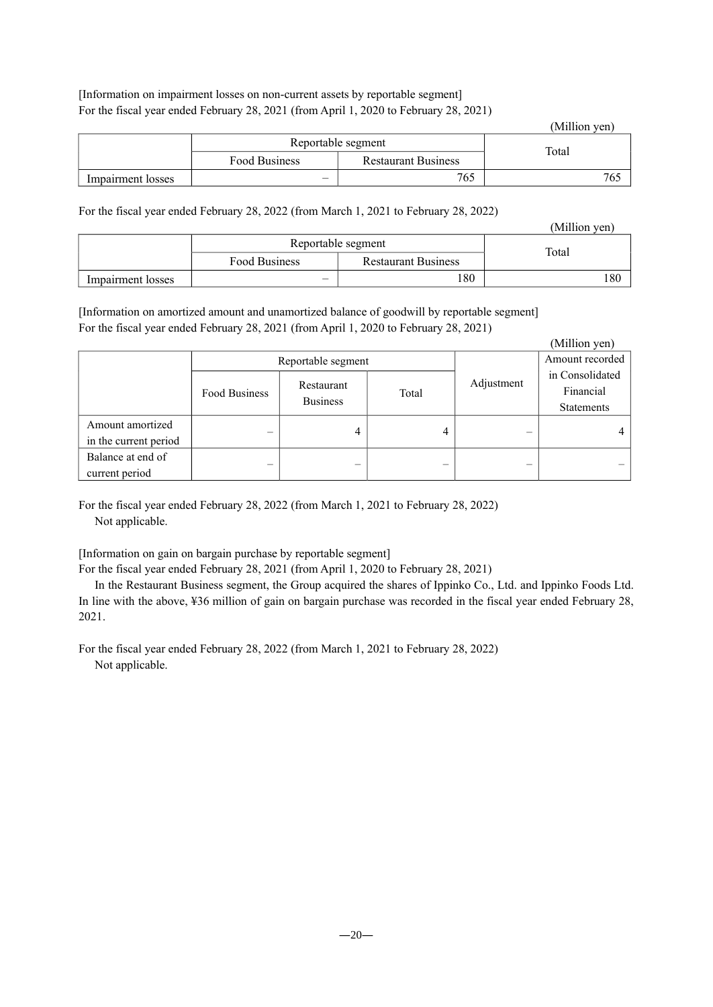[Information on impairment losses on non-current assets by reportable segment] For the fiscal year ended February 28, 2021 (from April 1, 2020 to February 28, 2021)

|                   |                    |                            | (Million yen) |
|-------------------|--------------------|----------------------------|---------------|
|                   | Reportable segment | Total                      |               |
|                   | Food Business      | <b>Restaurant Business</b> |               |
| Impairment losses |                    | 765                        |               |

# For the fiscal year ended February 28, 2022 (from March 1, 2021 to February 28, 2022)

|                   |                    |                            | (Million yen) |
|-------------------|--------------------|----------------------------|---------------|
|                   | Reportable segment | Total                      |               |
|                   | Food Business      | <b>Restaurant Business</b> |               |
| Impairment losses | –                  | 180                        | 180           |

[Information on amortized amount and unamortized balance of goodwill by reportable segment] For the fiscal year ended February 28, 2021 (from April 1, 2020 to February 28, 2021)

|                       |                                                       |       |                          |                   | (Million yen) |
|-----------------------|-------------------------------------------------------|-------|--------------------------|-------------------|---------------|
| Reportable segment    |                                                       |       |                          | Amount recorded   |               |
|                       | Restaurant<br><b>Food Business</b><br><b>Business</b> | Total | Adjustment               | in Consolidated   |               |
|                       |                                                       |       |                          | Financial         |               |
|                       |                                                       |       |                          | <b>Statements</b> |               |
| Amount amortized      |                                                       |       |                          |                   |               |
| in the current period | -                                                     | 4     | 4                        |                   |               |
| Balance at end of     |                                                       |       |                          |                   |               |
| current period        | -                                                     | -     | $\overline{\phantom{a}}$ | -                 |               |

For the fiscal year ended February 28, 2022 (from March 1, 2021 to February 28, 2022) Not applicable.

[Information on gain on bargain purchase by reportable segment]

For the fiscal year ended February 28, 2021 (from April 1, 2020 to February 28, 2021)

In the Restaurant Business segment, the Group acquired the shares of Ippinko Co., Ltd. and Ippinko Foods Ltd. In line with the above, ¥36 million of gain on bargain purchase was recorded in the fiscal year ended February 28, 2021.

For the fiscal year ended February 28, 2022 (from March 1, 2021 to February 28, 2022) Not applicable.